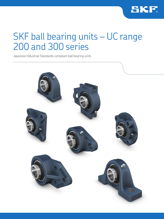

## SKF ball bearing units – UC range 200 and 300 series

Japanese Industrial Standards compliant ball bearing units

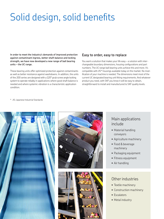# Solid design, solid benefits

**In order to meet the industry's demands of improved protection against contaminant ingress, better shaft balance and locking strength, we have now developed a new range of ball bearing units – the UC range.** 

These bearing units offer optimized protection against contaminants as well as better resistance against washdowns. In addition, the units of the 200 series are designed with a 120° grub screw angle locking system to operate reliably in applications where good shaft balance is needed and where systemic vibration is a characteristic application condition.

## **Easy to order, easy to replace**

You want a solution that makes your life easy – a solution with interchangeable boundary dimensions, housing configurations and part numbers. The UC range ball bearing units achieve this and more. It's compatible with JIS\* housings available today on the market. No modification of your machine is needed. The dimensions meet most of the current UC designated bearing unit fitting requirements. And whatever product you need, with SKF you know it will be easy to obtain, straightforward to install and manufactured to SKF quality levels.

\* JIS: Japanese Industrial Standards







## Main applications include

- Material handling conveyors
- Agriculture machinery
- Food & beverage machinery
- Packaging equipment
- Fitness equipment
- Air handling

## Other industries

- Textile machinery
- Construction machinery
- Escalators
- Metal industry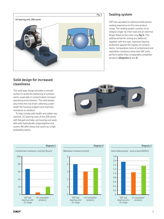

## **Sealing system**

SKF has cascaded its extensive field proven sealing experience to this new product range. The sealing system consists of an integral single- lip inner seal and an external flinger fitted on the inner ring (**fig 1**). This additional barrier acting as a deflector, together with the seal, improves bearing protection against the ingress of contaminants. Comparative tests of contaminant and washdown resistance show that SKF units perform better than comparable competitor products (**diagrams 1** and **2**).

## **Solid design for increased cleanliness**

The solid base design provides a smooth surface to avoid the harboring of contaminants, especially in contaminated conveyor operating environments. The solid design also limits the risk of dirt collecting underneath the housing support and improves resistance to vibration.

To help comply with health and safety regulations, UC bearing units of the 200 series with flanged and take-up housings are available with hydrophobic polypropylene end covers. We offer these end covers as a high availability option.







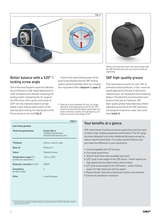

## **Better balance with a 120°** 1) **locking screw angle**

One of the most frequent causes for ball bearing unit failures in high speed applications is shaft imbalance and vibration loosening the locking system. Designing the UC range of the 200 series with a grub screw angle of 120° not only improves balance at high speed, it also reduces deformation of the bearing when locking. For distribution of the forces acting on the shaft (**fig 2**).

A test of the axial holding power of the grub screw showed that the SKF locking system performed better than our competitors' equivalent offers (**diagram 3**, **page 3**).

1) Valid up to bore diameter 65 mm, for larger diameter shaft applications and for the 300 series characterized by higher peak loads and lower rotational speeds, the ball bearing unit features a grub screw angle of 62°

| SK 5<br>ECY 206 |
|-----------------|
|                 |
|                 |
|                 |

*Please note that end covers are not included with the SKF ball bearing units and must be ordered separately.*

## **SKF high-quality grease**

Poor lubrication accounts for over 36% of premature bearing failures. In fact, most low speed applications fail due to lubrication related issues, not necessarily due to bearing fatigue. Provided that recommended maintenance intervals are followed, SKF high-quality grease helps bearings achieve expected service life as the SKF lubricants are designed to perform under real conditions (**table 1**).

|                                                  |                                                                          | Table 1 |
|--------------------------------------------------|--------------------------------------------------------------------------|---------|
| Lubricating greases                              |                                                                          |         |
| <b>Technical specification</b>                   | Grease fills in<br>standard ball bearings<br>standard ball bearing units |         |
| <b>Thickener</b>                                 | Lithium-calcium soap                                                     |         |
| Base oil                                         | Mineral oil                                                              |         |
| Colour                                           | Yellowish brown                                                          |         |
| Temperature range [°C]<br>(continuous operation) | $-30$ to $+1201$                                                         |         |
| <b>Kinematic viscosity</b> $\text{mm2/s}$        | 190/15                                                                   |         |
| Consistency<br>(to NLGI scale)                   | $\mathcal{P}$                                                            |         |
| Other                                            | Long life grease                                                         |         |

## **Your benefits at a glance**

SKF understands machine and plant productivity and the need to deliver high rotating equipment performance. The UC range has been designed to provide reliable performance as well as reduce machine downtime. It includes specific features that can make the difference in your equipment:

- Interchangeable with JIS housing
- Full range assortment
- Shorter lead times with available local stock
- 120° grub screw angle for the 200 series better balance at high speed and less deformation when locking
- 62° grub screw angle for the 300 series better holding power for high peak load and low speed
- Robust design reducing contaminant ingress and vibration
- Enhanced washdown resistance

1) The temperature range for reliable operation in accordance with the SKF traffic light concept is between 10 and 120 °C.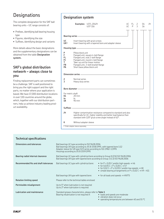## **Designations**

The complete designation for the SKF ball bearing units – UC range consists of:

- Prefixes, identifying ball bearing housing type
- Figures, identifying the size
- Suffixes, identifying design and variants

More details about the basic designations and the supplementary designations can be obtained from the table **Designation system.**

## **SKF's global distribution network – always close to you**

Finding replacement parts can sometimes be a challenge. SKF is well positioned to bring you the right support and the right parts, no matter where your application is based. We have 17,000 distribution locations in over 130 countries around the globe, which, together with our distribution partners, help us achieve industry leading product availability.

|                                       | <b>Designation system</b>                                                                                                                                                                                                                 |           |                                              |                    |          |    |
|---------------------------------------|-------------------------------------------------------------------------------------------------------------------------------------------------------------------------------------------------------------------------------------------|-----------|----------------------------------------------|--------------------|----------|----|
|                                       | Examples: UCFL 204/H<br><b>UCP 316</b>                                                                                                                                                                                                    | <b>UC</b> | FL .<br>$\mathsf{U} \mathsf{C}$ $\mathsf{P}$ | 2<br>$\mathcal{E}$ | 04<br>16 | /H |
|                                       |                                                                                                                                                                                                                                           |           |                                              |                    |          |    |
| UC<br>UK <sup>1</sup>                 | Insert bearing with grub screws<br>Insert bearing with a tapered bore and adapter sleeve                                                                                                                                                  |           |                                              |                    |          |    |
|                                       |                                                                                                                                                                                                                                           |           |                                              |                    |          |    |
| P<br>F<br>FL<br>FC.<br>т<br>FB.<br>PA | Pillow block unit<br>Flanged unit, square 4-bolt flange<br>Flanged unit, oval 2-bolt flange<br>Flanged unit, round 4-bolt flange<br>Take-up unit for linear motion<br>Flanged unit, 3-bolt bracket flange<br>Short base pillow block unit |           |                                              |                    |          |    |
|                                       | Dimension series - The Committee of the Committee of the Committee of the Committee of the Committee of the Co                                                                                                                            |           |                                              |                    |          |    |
| 2<br>3                                | Normal series<br>Heavy duty series                                                                                                                                                                                                        |           |                                              |                    |          |    |
|                                       | Bore diameter - The Contract of the Contract of the Contract of the Contract of the Contract of the Contract of                                                                                                                           |           |                                              |                    |          |    |
| For metric shaft<br>04<br>to<br>18    | $20 \, \text{mm}$<br>to<br>90 mm                                                                                                                                                                                                          |           |                                              |                    |          |    |
|                                       | Suffixes <u>- Superintended</u>                                                                                                                                                                                                           |           |                                              |                    |          |    |
| /H                                    | Higher contamination resistance compared to standard and also<br>specifically for UC, higher stability and better load balance than<br>standard with 120° grub screw angle instead of 62°.                                                |           |                                              |                    |          |    |
| ĸ                                     | Without adapter sleeve                                                                                                                                                                                                                    |           |                                              |                    |          |    |
|                                       | 1) Order adapter sleeve separately.                                                                                                                                                                                                       |           |                                              |                    |          |    |

| <b>Technical specifications</b>       |                                                                                                                                                                                                                                               |                                                                                                                                                                                                                                                          |
|---------------------------------------|-----------------------------------------------------------------------------------------------------------------------------------------------------------------------------------------------------------------------------------------------|----------------------------------------------------------------------------------------------------------------------------------------------------------------------------------------------------------------------------------------------------------|
| Dimensions and tolerances             | Ball bearings UC type according to ISO 9628:2006<br>Ball bearings UK type according to JIS B 1558:1995, with tapered bore 1:12<br>Adapter sleeve for UK type H23 series according to ISO 2982-1:1995<br>Housings according to JIS B 1559:1995 |                                                                                                                                                                                                                                                          |
| Bearing radial internal clearance     | Ball bearings UC type with cylindrical bore according to Group N (CN) ISO 9628:2006<br>Ball bearings UK type with tapered bore according to Group 3 (C3) ISO 9628:2006                                                                        |                                                                                                                                                                                                                                                          |
| Recommended fits and shaft tolerances | Ball bearings UC type with cylindrical bore:                                                                                                                                                                                                  | • for $P > 0,05$ C and/or high speeds $\rightarrow$ h6<br>• for 0,035 C < P $\leq$ 0,05 C $\rightarrow$ h7<br>• for 0,02 C < P $\leq$ 0,035 C and/or low speeds $\rightarrow$ h8<br>• simple bearing arrangements or $P \le 0.02 C \rightarrow h9 - h11$ |
|                                       | Ball bearings UK type with tapered bore:                                                                                                                                                                                                      | • for all loads and speeds $\rightarrow$ h9/IT5                                                                                                                                                                                                          |
| <b>Rotation limiting speed</b>        | Please refer to the technical tables enclosed                                                                                                                                                                                                 |                                                                                                                                                                                                                                                          |
| Permissible misalignment              | Up to 5° when lubrication is not required<br>Up to 2° when lubrication is required                                                                                                                                                            |                                                                                                                                                                                                                                                          |
| Lubrication and maintenance           | Standard grease characteristics, please refer to Table 1<br>Bearing relubrication is not required if:                                                                                                                                         | • loads and speeds are moderate<br>• vibration does not occur<br>• operating temperatures are between 40 and 55 °C                                                                                                                                       |

#### **SKF**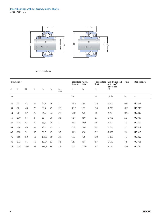

#### Pressed steel cage

|     | <b>Dimensions</b> |     |    |       |                |                        | <b>Basic load ratings</b><br>dynamic static |       | <b>Fatigue load</b><br>limit | Limiting speed<br>with shaft | Mass | Designation              |
|-----|-------------------|-----|----|-------|----------------|------------------------|---------------------------------------------|-------|------------------------------|------------------------------|------|--------------------------|
| d   | D                 | B   | С  | $d_1$ | $\mathsf{s}_1$ | $\frac{r_{1,2}}{min.}$ | С                                           | $C_0$ | $P_u$                        | tolerance<br>h <sub>6</sub>  |      |                          |
| mm  |                   |     |    |       |                |                        | kN                                          |       | kN                           | r/min                        | kg   | $\overline{\phantom{0}}$ |
| 30  | 72                | 43  | 21 | 44,8  | 26             | $\overline{c}$         | 26,5                                        | 15,0  | 0,6                          | 5 3 0 0                      | 0,54 | <b>UC306</b>             |
| 35  | 80                | 48  | 23 | 50,4  | 29             | 2,5                    | 33,2                                        | 19,3  | 0,8                          | 4700                         | 0,71 | <b>UC 307</b>            |
| 40  | 90                | 52  | 25 | 56,5  | 33             | 2,5                    | 41,0                                        | 24,0  | 1,0                          | 4 2 0 0                      | 0,96 | <b>UC308</b>             |
| 45  | 100               | 57  | 29 | 63    | 35             | 2,5                    | 52,7                                        | 32,0  | 1,3                          | 3750                         | 1,3  | <b>UC309</b>             |
| 50  | 110               | 61  | 30 | 69,1  | 39             | 3                      | 61,8                                        | 38,0  | 1,6                          | 3400                         | 1,7  | <b>UC 310</b>            |
| 55  | 120               | 66  | 32 | 76,1  | 41             | 3                      | 71,5                                        | 45,0  | 1,9                          | 3100                         | 2,1  | <b>UC 311</b>            |
| 60  | 130               | 71  | 35 | 81,7  | 45             | 3,5                    | 81,9                                        | 52,0  | 2,2                          | 2900                         | 2,6  | <b>UC 312</b>            |
| 75  | 160               | 82  | 43 | 101,3 | 50             | 3,5                    | 114                                         | 76,5  | 3,0                          | 2 3 0 0                      | 4,7  | <b>UC 315</b>            |
| 80  | 170               | 86  | 44 | 107,9 | 52             | 3,5                    | 124                                         | 86,5  | 3,3                          | 2150                         | 5,5  | <b>UC 316</b>            |
| 100 | 215               | 108 | 54 | 135,5 | 66             | 4,5                    | 174                                         | 140,0 | 4,8                          | 1700                         | 10,9 | <b>UC320</b>             |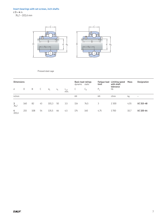#### **Insert bearings with set screws, inch shafts** d **3 – 4** in. *76,2 – 101,6 mm*



#### Pressed steel cage

|            | <b>Dimensions</b> |     |    |       |       |                   |     | Basic load ratings<br>dynamic static | <b>Fatique load</b><br>limit | <b>Limiting speed</b><br>with shaft | Mass | <b>Designation</b> |  |
|------------|-------------------|-----|----|-------|-------|-------------------|-----|--------------------------------------|------------------------------|-------------------------------------|------|--------------------|--|
| d          | D                 | B   | С  | $d_1$ | $S_1$ | $r_{1,2}$<br>min. | U   | $C_0$                                | $P_u$                        | tolerance<br>h6                     |      |                    |  |
| in/mm      |                   |     |    |       |       |                   | kN  |                                      | kN                           | r/min                               | kg   | $\qquad \qquad -$  |  |
| 3<br>76,2  | 160               | 82  | 43 | 101,3 | 50    | 3,5               | 114 | 76,5                                 | 3                            | 2 3 0 0                             | 4,55 | UC 315-48          |  |
| 4<br>101,6 | 215               | 108 | 54 | 135,5 | 66    | 4,5               | 174 | 140                                  | 4,75                         | 1700                                | 10,7 | UC 320-64          |  |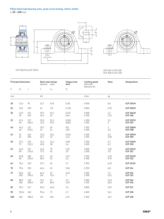





UCP 204/H to UCP 213/H

#### UCP 214 to UCP 218 UCP 306 to UCP 320

|     | <b>Principal dimensions</b> |              |              | <b>Basic load ratings</b> | <b>Fatique load</b> | Limiting speed             | Mass                               | <b>Designations</b>                |
|-----|-----------------------------|--------------|--------------|---------------------------|---------------------|----------------------------|------------------------------------|------------------------------------|
|     |                             |              | dynamic      | static                    | limit               | with shaft<br>tolerance h6 |                                    |                                    |
| d   | $H_1$                       | J            | С            | $C_0$                     | $P_u$               |                            |                                    |                                    |
| mm  |                             |              | kN           |                           |                     | r/min                      | kg                                 | $\qquad \qquad -$                  |
| 20  | 33,3                        | 95           | 12,7         | 6,55                      | 0,28                | 6500                       | 0,6                                | <b>UCP 204/H</b>                   |
| 25  | 36,5                        | 105          | 14           | 7,8                       | 0,335               | 5850                       | 0,76                               | <b>UCP 205/H</b>                   |
| 30  | 42,9<br>50                  | 121<br>140   | 19,5<br>26,5 | 11,2<br>15                | 0,475<br>0,64       | 5000<br>5 3 0 0            | 1,2<br>2,15                        | <b>UCP 206/H</b><br><b>UCP 306</b> |
| 35  | 47,6<br>56                  | 127<br>160,5 | 25,5<br>33,2 | 15,3<br>19,3              | 0,655<br>0,815      | 4300<br>4700               | 1,5<br>3                           | <b>UCP 207/H</b><br><b>UCP 307</b> |
| 40  | 49,2<br>60                  | 137<br>170,5 | 30,7<br>41   | 19<br>24                  | 0,8<br>1,02         | 3750<br>4 2 0 0            | $\overline{c}$<br>$\overline{3,6}$ | <b>UCP 208/H</b><br><b>UCP 308</b> |
| 45  | 54<br>67                    | 146<br>190   | 33,2<br>52,7 | 21,6<br>32                | 0,915<br>1,34       | 3400<br>3750               | 2,2<br>5,05                        | <b>UCP 209/H</b><br><b>UCP 309</b> |
| 50  | 57,2<br>75                  | 159<br>212,5 | 35,1<br>61,8 | 23,2<br>38                | 0,98<br>1,6         | 3 3 0 0<br>3400            | 2,7<br>6,5                         | <b>UCP 210/H</b><br><b>UCP 310</b> |
| 55  | 63,5<br>80                  | 171<br>236,5 | 43,6<br>71,5 | 29<br>45                  | 1,25<br>1,9         | 3000<br>3100               | 3,55<br>7,8                        | <b>UCP 211/H</b><br><b>UCP 311</b> |
| 60  | 69,8<br>85                  | 184<br>250,5 | 52,7<br>81,9 | 36<br>52                  | 1,53<br>2,2         | 2700<br>2900               | 4,55<br>9,75                       | <b>UCP 212/H</b><br><b>UCP 312</b> |
| 65  | 76,2                        | 203          | 57,2         | 40                        | 1,7                 | 2 3 5 0                    | 6,25                               | <b>UCP 213/H</b>                   |
| 70  | 79,4                        | 210          | 62,4         | 45                        | 1,86                | 2 2 5 0                    | 6,8                                | <b>UCP 214</b>                     |
| 75  | 82,6<br>100                 | 217<br>290,5 | 66,3<br>114  | 49<br>76,5                | 2,04<br>3           | 2100<br>2 3 0 0            | 7,3<br>15,5                        | <b>UCP 215</b><br><b>UCP 315</b>   |
| 80  | 88,9<br>106                 | 232<br>300,5 | 71,5<br>124  | 54<br>86,5                | 2,2<br>3,25         | 1900<br>2 1 5 0            | 9,45<br>18,2                       | <b>UCP 216</b><br><b>UCP 316</b>   |
| 85  | 95,2                        | 247          | 83,2         | 64,0                      | 2,5                 | 1800                       | 12,9                               | <b>UCP 217</b>                     |
| 90  | 101,6                       | 262          | 95,6         | 72                        | 2,7                 | 1600                       | 14,1                               | <b>UCP 218</b>                     |
| 100 | 140                         | 380,5        | 174          | 140                       | 4,75                | 1700                       | 36,7                               | <b>UCP 320</b>                     |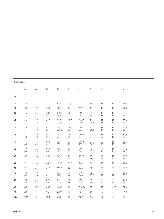| <b>Dimensions</b> |              |          |                         |                           |                                         |              |            |                  |                                         |                         |
|-------------------|--------------|----------|-------------------------|---------------------------|-----------------------------------------|--------------|------------|------------------|-----------------------------------------|-------------------------|
| d                 | $\mathsf A$  | $A_1$    | $\mathsf B$             | $\boldsymbol{\mathsf{H}}$ | H <sub>2</sub>                          | $\mathsf L$  | $\hbox{N}$ | $N_1$            | G                                       | $s_1$                   |
| mm                |              |          |                         |                           |                                         |              |            |                  |                                         |                         |
| 20                | $34$         | 21       | $31\,$                  | 64,5                      | 13,5                                    | 127          | 18         | 13               | $10$                                    | 18,3                    |
| 25                | 38           | 22       | 34,1                    | 70,5                      | 16                                      | 139,5        | 18         | 13               | $10\,$                                  | 19,8                    |
| 30                | 45<br>47     | 24<br>32 | 38,1<br>43              | 83,5<br>100               | 16,5<br>21                              | 165<br>182   | 21<br>19   | $17\,$<br>17     | $14$<br>$14$                            | 22,2<br>26              |
| 35                | 46<br>54     | 27<br>36 | 42,9<br>48              | 93,5<br>111,5             | 18,5<br>23                              | 166,5<br>209 | 21<br>24,5 | $17\,$<br>17     | $14$<br>14                              | 25,4<br>29              |
| 40                | 49<br>57     | 29<br>38 | 49,2<br>52              | 101<br>119,5              | 20,5<br>25                              | 184<br>221   | 21<br>26,5 | $17\,$<br>$17\,$ | $14$<br>14                              | 30,2<br>33 <sup>7</sup> |
| 45                | $51\,$<br>63 | 29<br>42 | 49,2<br>57              | 108<br>136                | 19<br>25                                | 189,5<br>247 | 21<br>29   | $17\,$<br>20     | $14$<br>16                              | 30,2<br>35              |
| 50                | 56<br>65     | 31<br>43 | 51,6<br>61              | 116<br>152                | 19<br>25                                | 206,5<br>275 | 22<br>34,5 | 20<br>20         | 16<br>16                                | 32,6<br>39 <sup>7</sup> |
| 55                | 59<br>68     | 35<br>45 | 55,6<br>66              | 126<br>162                | $\begin{array}{c} 22 \\ 25 \end{array}$ | 219<br>302   | 22<br>37,5 | 20<br>20         | 16<br>16                                | 33,4<br>41              |
| 60                | 62<br>72     | 36<br>48 | 65,1<br>71              | 141,5<br>171              | 22<br>35                                | 239,5<br>321 | 25<br>36,5 | 20<br>24         | 16<br>20                                | 39,7<br>45              |
| 65                | 72           | 35       | 68,3                    | 153,5                     | 25,5                                    | 265          | $30\,$     | 25               | 20                                      | 42,9                    |
| 70                | 72           | 41       | 69,9                    | 159,5                     | 28                                      | 266          | $30\,$     | 25               | 20                                      | 39,7                    |
| 75                | 73<br>86     | 42<br>58 | 77,8<br>82 <sup>2</sup> | 164<br>202                | 25,5<br>40                              | 271,5<br>368 | 30<br>39,5 | 25<br>27         | 20<br>22                                | 44,5<br>50 <sup>2</sup> |
| 80                | 78<br>93     | 45<br>62 | 82,6<br>86              | 176<br>215                | 32,5<br>40                              | 292<br>378   | 35<br>39,5 | 25<br>27         | $\begin{array}{c} 20 \\ 22 \end{array}$ | 49,3<br>52              |
| 85                | 83,2         | 47,6     | 85,7                    | 188,91                    | 36                                      | 310,36       | 35         | 25               | M20                                     | 51,6                    |
| 90                | 88           | 51       | 96                      | 202,5                     | 36,5                                    | 327          | 40         | 27               | 22                                      | 56,3                    |
| 100               | 107          | 71       | 108                     | 283                       | 55                                      | 482          | 49,5       | 36               | 30                                      | 66                      |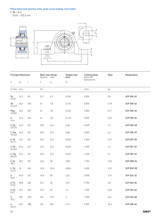#### **Pillow block ball bearing units, grub screw locking, inch shafts**

d **3/4 – 4** in.

*19,05 – 101,6 mm*



|                               | <b>Principal dimensions</b> |           | <b>Basic load ratings</b><br>dynamic static |       | <b>Fatigue load</b><br>limit | <b>Limiting speed</b><br>with shaft<br>tolerance h6 | Mass | <b>Designations</b>      |
|-------------------------------|-----------------------------|-----------|---------------------------------------------|-------|------------------------------|-----------------------------------------------------|------|--------------------------|
| d                             | $H_1$                       | $\bigcup$ | $\mathsf C$                                 | $C_0$ | $\mathsf{P}_\mathsf{u}$      |                                                     |      |                          |
| in./mm                        | mm                          |           | $\mathsf{k}\mathsf{N}$                      |       |                              | $r/m$ in                                            | kg   | $\overline{\phantom{a}}$ |
| 3/4<br>19,05                  | 33,3                        | 95        | 12,7                                        | 6,7   | 0,285                        | 6500                                                | 0,6  | <b>UCP 204-12</b>        |
| $^{7/8}$<br>22,225            | 36,5                        | 105       | 14                                          | 7,8   | 0,335                        | 5850                                                | 0,79 | <b>UCP 205-14</b>        |
| 15/16<br>23,812               | 36,5                        | 105       | 14                                          | 7,8   | 0,335                        | 5850                                                | 0,77 | <b>UCP 205-15</b>        |
| $\mathbf{1}$<br>25,4          | 36,5                        | 105       | 14                                          | 7,8   | 0,335                        | 5850                                                | 0,76 | UCP 205-16               |
| $11/8$<br>28,575              | 42,9                        | 121       | 19,5                                        | 11,4  | 0,48                         | 5 0 0 0                                             | 1,2  | UCP 206-18               |
| $1 \frac{3}{16}$<br>30,162    | 42,9                        | 121       | 19,5                                        | 11,4  | 0,48                         | 5 0 0 0                                             | 1,2  | UCP 206-19               |
| $1 \frac{1}{4}$<br>31,75      | 47,6                        | 127       | 25,5                                        | 15,3  | 0,655                        | 4300                                                | 1,55 | <b>UCP 207-20</b>        |
| $1 \frac{3}{8}$<br>34,925     | 47,6                        | 127       | 25,5                                        | 15,3  | 0,655                        | 4300                                                | 1,5  | <b>UCP 207-22</b>        |
| $1 \frac{7}{16}$<br>36,512    | 47,6                        | 127       | 25,5                                        | 15,3  | 0,655                        | 4300                                                | 1,5  | <b>UCP 207-23</b>        |
| $1 \frac{1}{2}$<br>38,1       | 49,2                        | 137       | 32,5                                        | 20    | 0,85                         | 3750                                                | 2,05 | <b>UCP 208-24</b>        |
| $\frac{1 \frac{3}{4}}{44,45}$ | 54                          | 146       | 32,5                                        | 20,4  | 0,865                        | 3400                                                | 2,25 | <b>UCP 209-28</b>        |
| $\overline{2}$<br>50,8        | 63,5                        | 171       | 43,6                                        | 29    | 1,25                         | 3000                                                | 3,75 | UCP 211-32               |
| $2 \frac{1}{4}$<br>57,15      | 69,8                        | 184       | 52,7                                        | 36    | 1,53                         | 2700                                                | 4,8  | UCP 212-36               |
| $2 \frac{1}{2}$<br>63,5       | 76,2                        | 203       | 57,2                                        | 40    | 1,7                          | 2 3 5 0                                             | 6,35 | UCP 213-40               |
| $\mathbf{3}$<br>76,2          | 100                         | 290       | 114                                         | 76,5  | 3                            | 2 3 0 0                                             | 15,4 | UCP 315-48               |
| 4<br>101,6                    | 140                         | 380       | 174                                         | 140   | 4,75                         | 1700                                                | 36,4 | UCP 320-64               |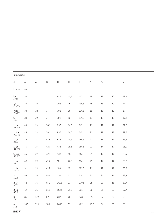|                             | <b>Dimensions</b> |       |             |                                                     |                |             |             |        |      |       |  |  |
|-----------------------------|-------------------|-------|-------------|-----------------------------------------------------|----------------|-------------|-------------|--------|------|-------|--|--|
| $\operatorname{\mathsf{d}}$ | $\mathsf A$       | $A_1$ | $\mathsf B$ | $\mathsf{H}% _{\mathsf{H}}^{\ast}(\mathcal{M}_{0})$ | H <sub>2</sub> | $\mathsf L$ | $\mathsf N$ | $N_1$  | G    | $s_1$ |  |  |
| in./mm                      | mm                |       |             |                                                     |                |             |             |        |      |       |  |  |
| 3/4<br>19,05                | 34                | 21    | $31\,$      | 64,5                                                | 13,5           | 127         | 18          | $13\,$ | $10$ | 18,3  |  |  |
| $\frac{7}{8}$<br>22,225     | 38                | 22    | 34          | 70,5                                                | 16             | 139,5       | 18          | $13\,$ | $10$ | 19,7  |  |  |
| 15/16<br>23,812             | 38                | 22    | 34          | 70,5                                                | 16             | 139,5       | 18          | 13     | $10$ | 19,7  |  |  |
| $\mathbf{1}$<br>25,4        | 38                | 22    | 34          | 70,5                                                | 16             | 139,5       | 18          | 13     | 10   | 14,3  |  |  |
| $1 \frac{1}{8}$<br>28,575   | 45                | 24    | 38,1        | 83,5                                                | 16,5           | 165         | 21          | $17\,$ | 14   | 22,2  |  |  |
| $1 \frac{3}{16}$<br>30,162  | 45                | 24    | 38,1        | 83,5                                                | 16,5           | 165         | 21          | $17\,$ | 14   | 22,2  |  |  |
| $1 \frac{1}{4}$<br>31,75    | 46                | 27    | 42,9        | 93,5                                                | 18,5           | 166,5       | 21          | $17\,$ | 14   | 25,4  |  |  |
| $1 \frac{3}{8}$<br>34,925   | 46                | 27    | 42,9        | 93,5                                                | 18,5           | 166,5       | 21          | $17\,$ | $14$ | 25,4  |  |  |
| $1 \frac{7}{16}$<br>36,512  | 46                | 27    | 42,9        | 93,5                                                | 18,5           | 166,5       | 21          | $17\,$ | 14   | 25,4  |  |  |
| $1 \frac{1}{2}$<br>38,1     | 49                | 29    | 49,2        | 101                                                 | 20,5           | 184         | 21          | $17\,$ | 14   | 30,2  |  |  |
| $1 \frac{3}{4}$<br>44,45    | 51                | 29    | 49,2        | 108                                                 | 19             | 189,5       | 21          | $17\,$ | 14   | 30,2  |  |  |
| $\frac{2}{50,8}$            | 59                | 35    | 55,6        | 126                                                 | 22             | 219         | 22          | 20     | 16   | 33,4  |  |  |
| $2 \frac{1}{4}$<br>57,15    | 62                | 36    | 65,1        | 141,5                                               | 22             | 239,5       | 25          | 20     | 16   | 39,7  |  |  |
| $2 \frac{1}{2}$<br>63,5     | 72                | 35    | 65,1        | 153,5                                               | 25,5           | 265         | $30\,$      | 25     | 20   | 39,7  |  |  |
| $\mathbf{3}$<br>76,2        | 86                | 57,6  | 82          | 202,7                                               | 40             | 368         | 39,5        | 27     | 22   | 50    |  |  |
| 4<br>101,6                  | 107               | 71,4  | 108         | 283,7                                               | 55             | 482         | 49,5        | 36     | 30   | 66    |  |  |

#### **SKF**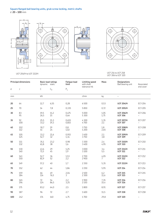#### **Square flanged ball bearing units, grub screw locking, metric shafts** d **20 – 100** mm

L

T



## UCF 214 to UCF 218 UCF 306 to UCF 320 UCF 204/H to UCF 213/H

|     | <b>Principal dimensions</b> | dynamic      | <b>Basic load ratings</b><br>static | <b>Fatigue load</b><br>limit | <b>Limiting speed</b><br>with shaft<br>tolerance h6 | Mass         | <b>Designations</b><br>Ball bearing unit | Associated<br>end cover                    |
|-----|-----------------------------|--------------|-------------------------------------|------------------------------|-----------------------------------------------------|--------------|------------------------------------------|--------------------------------------------|
| d   | J                           | $\mathsf C$  | $C_0$                               | $P_u$                        |                                                     |              |                                          |                                            |
| mm  |                             | kN           |                                     |                              | r/min                                               | kg           | $\overline{\phantom{0}}$                 |                                            |
| 20  | 64                          | 12,7         | 6,55                                | 0,28                         | 6500                                                | 0,53         | <b>UCF 204/H</b>                         | <b>ECY 204</b>                             |
| 25  | 70                          | 14           | 7,8                                 | 0,335                        | 5850                                                | 0,72         | <b>UCF 205/H</b>                         | <b>ECY 205</b>                             |
| 30  | 83<br>95                    | 19,5<br>26,5 | 11,2<br>15                          | 0,475<br>0,64                | 5000<br>5 3 0 0                                     | 1,05<br>1,75 | <b>UCF 206/H</b><br><b>UCF 306</b>       | <b>ECY 206</b><br>$\overline{\phantom{0}}$ |
| 35  | 92<br>100                   | 25,5<br>33,2 | 15,3<br>19,3                        | 0,655<br>0,815               | 4 3 0 0<br>4700                                     | 1,35<br>2,1  | <b>UCF 207/H</b><br><b>UCF 307</b>       | <b>ECY 207</b>                             |
| 40  | 102<br>112                  | 30.7<br>41   | 19<br>24                            | 0,8<br>1,02                  | 3750<br>4 2 0 0                                     | 1,8<br>2,65  | <b>UCF 208/H</b><br><b>UCF 308</b>       | <b>ECY 208</b><br>$\qquad \qquad -$        |
| 45  | 105<br>125                  | 33,2<br>52,7 | 21,6<br>32 <sup>2</sup>             | 0,915<br>1,34                | 3400<br>3750                                        | 2,1<br>3,8   | <b>UCF 209/H</b><br><b>UCF 309</b>       | <b>ECY 209</b><br>$\overline{\phantom{0}}$ |
| 50  | 111<br>132                  | 35,1<br>61,8 | 23,2<br>38                          | 0,98<br>1,6                  | 3 3 0 0<br>3400                                     | 2,4<br>4,95  | <b>UCF 210/H</b><br><b>UCF 310</b>       | <b>ECY 210</b><br>$\overline{\phantom{0}}$ |
| 55  | 130<br>140                  | 43,6<br>71,5 | 29<br>45                            | 1,25<br>1,9                  | 3000<br>3100                                        | 3,4<br>5,5   | <b>UCF 211/H</b><br><b>UCF 311</b>       | <b>ECY 211</b><br>$\overline{\phantom{0}}$ |
| 60  | 143<br>150                  | 52,7<br>81,9 | 36<br>52                            | 1,53<br>2,2                  | 2700<br>2900                                        | 4,05<br>7    | <b>UCF 212/H</b><br><b>UCF 312</b>       | <b>ECY 212</b><br>$\overline{\phantom{0}}$ |
| 65  | 149                         | 57,2         | 40                                  | 1,7                          | 2 3 5 0                                             | 5,35         | <b>UCF 213/H</b>                         | <b>ECY 213</b>                             |
| 70  | 152                         | 62           | 44                                  | 1,86                         | 2 2 5 0                                             | 5,95         | <b>UCF 214</b>                           | <b>ECY 214</b>                             |
| 75  | 159<br>184                  | 66<br>114    | 49<br>76,5                          | 2,04<br>3                    | 2100<br>2 3 0 0                                     | 6,2<br>11,6  | <b>UCF 215</b><br><b>UCF 315</b>         | <b>ECY 215</b><br>$\overline{\phantom{0}}$ |
| 80  | 165<br>196                  | 72<br>124    | 54<br>86,5                          | 2,2<br>3,25                  | 1900<br>2 1 5 0                                     | 7,35<br>15,4 | <b>UCF 216</b><br><b>UCF 316</b>         | <b>ECY 216</b><br>$\overline{\phantom{0}}$ |
| 85  | 175                         | 83,2         | 64,0                                | 2,5                          | 1800                                                | 8,91         | <b>UCF 217</b>                           | <b>ECY 217</b>                             |
| 90  | 187                         | 96           | 72                                  | 2,7                          | 1600                                                | 11,5         | <b>UCF 218</b>                           | <b>ECY 218</b>                             |
| 100 | 242                         | 174          | 140                                 | 4,75                         | 1700                                                | 29,8         | <b>UCF 320</b>                           | -                                          |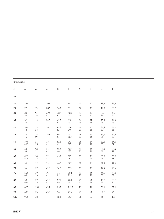| <b>Dimensions</b> |              |              |                                  |            |             |              |              |                         |            |  |  |
|-------------------|--------------|--------------|----------------------------------|------------|-------------|--------------|--------------|-------------------------|------------|--|--|
| d                 | Α            | $A_1$        | A <sub>5</sub>                   | Β          | $\mathsf L$ | $\mathsf N$  | G            | $S_1$                   | $\top$     |  |  |
| mm                |              |              |                                  |            |             |              |              |                         |            |  |  |
| $20\,$            | 25,5         | $11\,$       | 20,5                             | $31\,$     | 86          | $12\,$       | $10\,$       | 18,3                    | 33,3       |  |  |
| 25                | 27           | 13           | 20,5                             | 34,1       | 95          | 12           | 10           | 19,8                    | 35,8       |  |  |
| 30                | 30<br>34     | 14<br>16     | 22,5<br>$\overline{\phantom{0}}$ | 38,1<br>43 | 108<br>127  | $12$<br>16   | $10\,$<br>14 | 22,2<br>26              | 40,2<br>44 |  |  |
| 35                | 32<br>38     | 15<br>17     | 24,5<br>$-$                      | 42,9<br>48 | 118<br>137  | $14$<br>19   | 12<br>16     | 25,4<br>29              | 44,4<br>49 |  |  |
| 40                | 35,5<br>42   | 15<br>18     | 26<br>$-$                        | 49,2<br>52 | 130<br>149  | 16<br>19     | $14\,$<br>16 | 30,2<br>33 <sup>7</sup> | 51,2<br>56 |  |  |
| 45                | 38<br>46     | 16<br>19     | 26,5<br>$\overline{\phantom{0}}$ | 49,2<br>57 | 137<br>162  | 16<br>19     | $14$<br>16   | 30,2<br>35              | 52,2<br>60 |  |  |
| 50                | 39,5<br>49,5 | $16\,$<br>20 | 33<br>$\equiv$                   | 51,6<br>61 | 143<br>175  | $16\,$<br>23 | $14$<br>20   | 32,6<br>39              | 54,6<br>67 |  |  |
| 55                | 43<br>53     | $18\,$<br>21 | 37,5<br>$\overline{\phantom{0}}$ | 55,6<br>66 | 162<br>175  | 19<br>23     | $16\,$<br>20 | 33,4<br>41              | 58,4<br>71 |  |  |
| 60                | 47,5<br>57,5 | $18\,$<br>23 | 39<br>$\overline{\phantom{0}}$   | 65,1<br>71 | 175<br>193  | 19<br>23     | $16\,$<br>20 | 39,7<br>45              | 68,7<br>78 |  |  |
| 65                | 50           | 22           | 39                               | 68,3       | 187         | 19           | $16\,$       | 42,9                    | 72,9       |  |  |
| 70                | 54           | 22           | 41,5                             | 74,6       | 193         | 19           | 16           | 44,4                    | 75,4       |  |  |
| 75                | 56,5<br>68   | 22<br>26     | 41,5<br>$-$                      | 77,8<br>82 | 200<br>229  | 19<br>25     | $16\,$<br>22 | 44,5<br>50              | 78,3<br>89 |  |  |
| 80                | 58<br>68,5   | 22<br>28     | 41,5<br>$-$                      | 82,6<br>86 | 208<br>252  | 23<br>$31\,$ | 20<br>28     | 49,3<br>52              | 83,3<br>90 |  |  |
| 85                | 62,7         | 23,8         | 43,2                             | 85,7       | 219,9       | 23           | 20           | 51,6                    | 87,6       |  |  |
| 90                | 68,5         | 25           | 45,5                             | 96         | 235         | 23           | 20           | 56,3                    | 96         |  |  |
| 100               | 94,5         | 33           |                                  | 108        | 312         | 38           | 33           | 66                      | 125        |  |  |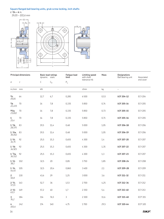#### **Square flanged ball bearing units, grub screw locking, inch shafts**

d **3/4 – 4** in.

*19,05 – 101,6 mm*







|                            | <b>Principal dimensions</b> | <b>Basic load ratings</b><br>dynamic | static | <b>Fatigue load</b><br>limit | <b>Limiting speed</b><br>with shaft | Mass | <b>Designations</b><br>Ball bearing unit | Associated     |
|----------------------------|-----------------------------|--------------------------------------|--------|------------------------------|-------------------------------------|------|------------------------------------------|----------------|
| d                          | J                           | $\mathsf{C}$                         | $C_0$  | $P_u$                        | tolerance h6                        |      |                                          | end cover      |
| $in./mm$ mm                |                             | $\mathsf{k}\mathsf{N}$               |        |                              | r/min                               | kg   | $\equiv$                                 |                |
| 3/4<br>19,05               | 64                          | 12,7                                 | 6,7    | 0,285                        | 6500                                | 0,53 | <b>UCF 204-12</b>                        | <b>ECY 204</b> |
| $^{7/8}$<br>22,225         | 70                          | 14                                   | 7,8    | 0,335                        | 5850                                | 0,74 | <b>UCF 205-14</b>                        | <b>ECY 205</b> |
| 15/16<br>23,812            | 70                          | 14                                   | 7,8    | 0,335                        | 5850                                | 0,73 | <b>UCF 205-15</b>                        | <b>ECY 205</b> |
| $\mathbf{1}$<br>25,4       | 70                          | 14                                   | 7,8    | 0,335                        | 5850                                | 0,71 | <b>UCF 205-16</b>                        | <b>ECY 205</b> |
| $1 \frac{1}{8}$<br>28,575  | 83                          | 19,5                                 | 11,4   | 0,48                         | 5000                                | 1,05 | <b>UCF 206-18</b>                        | <b>ECY 206</b> |
| $1 \frac{3}{16}$<br>30,162 | 83                          | 19,5                                 | 11,4   | 0,48                         | 5000                                | 1,05 | UCF 206-19                               | <b>ECY 206</b> |
| $1 \frac{1}{4}$<br>31,75   | 92                          | 25,5                                 | 15,3   | 0,655                        | 4 3 0 0                             | 1,4  | <b>UCF 207-20</b>                        | <b>ECY 207</b> |
| $1 \frac{3}{8}$<br>34,925  | 92                          | 25,5                                 | 15,3   | 0,655                        | 4 3 0 0                             | 1,35 | <b>UCF 207-22</b>                        | <b>ECY 207</b> |
| $1 \frac{7}{16}$<br>36,512 | 92                          | 25,5                                 | 15,3   | 0,655                        | 4 3 0 0                             | 1,3  | <b>UCF 207-23</b>                        | <b>ECY 207</b> |
| $1 \frac{1}{2}$<br>38,1    | 102                         | 32,5                                 | 20     | 0,85                         | 3750                                | 1,85 | <b>UCF 208-24</b>                        | <b>ECY 208</b> |
| $1 \frac{3}{4}$<br>44,45   | 105                         | 32,5                                 | 20,4   | 0,865                        | 3400                                | 2,1  | <b>UCF 209-28</b>                        | <b>ECY 209</b> |
| $\overline{2}$<br>50,8     | 130                         | 43,6                                 | 29     | 1,25                         | 3000                                | 3,6  | UCF 211-32                               | ECY 211        |
| $2 \frac{1}{4}$<br>57,15   | 143                         | 52,7                                 | 36     | 1,53                         | 2700                                | 4,25 | UCF 212-36                               | ECY 212        |
| $2 \frac{1}{2}$<br>63,5    | 149                         | 57,2                                 | $40\,$ | 1,7                          | 2 3 5 0                             | 5,4  | <b>UCF 213-40</b>                        | ECY 213        |
| $\mathbf{3}$<br>76,2       | 184                         | 114                                  | 76,5   | 3                            | 2 3 0 0                             | 11,6 | <b>UCF 315-48</b>                        | ECP 315        |
| 4<br>101,6                 | 242                         | 174                                  | 140    | 4,75                         | 1700                                | 29,5 | <b>UCF 320-64</b>                        | <b>ECP 320</b> |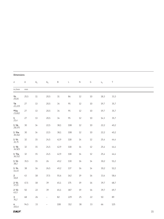|                                  | <b>Dimensions</b> |                |                                 |             |             |           |        |                |        |  |  |
|----------------------------------|-------------------|----------------|---------------------------------|-------------|-------------|-----------|--------|----------------|--------|--|--|
| $\operatorname{\mathsf{d}}$      | $\mathsf A$       | $\mathsf{A}_1$ | $\mathsf{A}_5$                  | $\mathsf B$ | $\mathsf L$ | ${\sf N}$ | G      | $\mathsf{s}_1$ | $\top$ |  |  |
| in./mm                           | $\rm mm$          |                |                                 |             |             |           |        |                |        |  |  |
| $\frac{3}{4}$<br>$\frac{19}{05}$ | 25,5              | $11\,$         | 20,5                            | $31\,$      | 86          | $12$      | $10$   | 18,3           | 33,3   |  |  |
| $\frac{7}{8}$<br>22,225          | 27                | 13             | 20,5                            | $34$        | 95          | $12$      | 10     | 19,7           | 35,7   |  |  |
| 15/16<br>23,812                  | 27                | 13             | 20,5                            | 34          | 95          | $12$      | $10$   | 19,7           | 35,7   |  |  |
| $\mathbf{1}$<br>25,4             | 27                | 13             | 20,5                            | $34$        | 95          | $12$      | $10\,$ | 14,3           | 35,7   |  |  |
| $1 \frac{1}{8}$<br>28,575        | 30                | $14$           | 22,5                            | 38,1        | 108         | $12$      | $10\,$ | 22,2           | 40,2   |  |  |
| $1 \frac{3}{16}$<br>30,162       | 30                | $14\,$         | 22,5                            | 38,1        | 108         | $12$      | $10$   | 22,2           | 40,2   |  |  |
| $1 \frac{1}{4}$<br>31,75         | 32                | 15             | 24,5                            | 42,9        | 118         | $14\,$    | 12     | 25,4           | 44,4   |  |  |
| $1 \frac{3}{8}$<br>34,925        | 32                | 15             | 24,5                            | 42,9        | 118         | $14\,$    | 12     | 25,4           | 44,4   |  |  |
| $1 \frac{7}{16}$<br>36,512       | 32                | 15             | 24,5                            | 42,9        | 118         | $14\,$    | 12     | 25,4           | 44,4   |  |  |
| $1 \frac{1}{2}$<br>38,1          | 35,5              | 15             | 26                              | 49,2        | 130         | 16        | $14$   | 30,2           | 51,2   |  |  |
| $1 \frac{3}{4}$<br>44,45         | 38                | 16             | 26,5                            | 49,2        | 137         | 16        | $14$   | 30,2           | 52,2   |  |  |
| $\overline{2}$<br>50,8           | 43                | 18             | 37,5                            | 55,6        | 162         | $19$      | 16     | 33,4           | 58,4   |  |  |
| $2 \frac{1}{4}$<br>57,15         | 47,5              | 18             | 39                              | 65,1        | 175         | $19$      | 16     | 39,7           | 68,7   |  |  |
| $2 \frac{1}{2}$<br>63,5          | 50                | 22             | 39                              | 65,1        | 187         | 19        | 16     | 39,7           | 69,7   |  |  |
| $\overline{3}$<br>76,2           | 68                | 26             | $\overline{\phantom{0}}$        | 82          | 229         | 25        | 22     | 50             | 89     |  |  |
| $\overline{4}$<br>101,6          | 94,5              | 33             | $\overbrace{\phantom{1232211}}$ | 108         | 312         | 38        | 33     | 66             | 125    |  |  |

#### **SKF**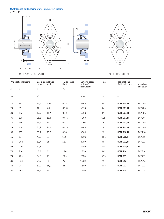#### **Oval flanged ball bearing units, grub screw locking**

UCFL 204/H to UCFL 213/H

d **20 – 90** mm



UCFL 214 to UCFL 218

|    | <b>Principal dimensions</b> | <b>Basic load ratings</b><br>dynamic | static | <b>Fatique load</b><br>limit | <b>Limiting speed</b><br>with shaft | Mass | <b>Designations</b><br>Ball bearing unit | Associated     |
|----|-----------------------------|--------------------------------------|--------|------------------------------|-------------------------------------|------|------------------------------------------|----------------|
| d  | J                           | $\mathsf{C}$                         | $C_0$  | $\mathsf{P}_\mathsf{u}$      | tolerance h6                        |      |                                          | end cover      |
| mm |                             | $\mathsf{k}\mathsf{N}$               |        |                              | r/min                               | kg   | $\qquad \qquad -$                        |                |
| 20 | 90                          | 12,7                                 | 6,55   | 0,28                         | 6500                                | 0,44 | <b>UCFL 204/H</b>                        | <b>ECY 204</b> |
| 25 | 99                          | 14                                   | 7,8    | 0,335                        | 5850                                | 0,61 | <b>UCFL 205/H</b>                        | <b>ECY 205</b> |
| 30 | 117                         | 19,5                                 | 11,2   | 0,475                        | 5000                                | 0,9  | <b>UCFL 206/H</b>                        | <b>ECY 206</b> |
| 35 | 130                         | 25,5                                 | 15,3   | 0,655                        | 4 3 0 0                             | 1,15 | <b>UCFL 207/H</b>                        | <b>ECY 207</b> |
| 40 | 144                         | 30,7                                 | 19     | 0,8                          | 3750                                | 1,5  | <b>UCFL 208/H</b>                        | <b>ECY 208</b> |
| 45 | 148                         | 33,2                                 | 21,6   | 0,915                        | 3400                                | 1,8  | <b>UCFL 209/H</b>                        | <b>ECY 209</b> |
| 50 | 157                         | 35,1                                 | 23,2   | 0,98                         | 3 3 0 0                             | 2,2  | <b>UCFL 210/H</b>                        | <b>ECY 210</b> |
| 55 | 184                         | 43,6                                 | 29     | 1,25                         | 3000                                | 3,05 | <b>UCFL 211/H</b>                        | <b>ECY 211</b> |
| 60 | 202                         | 52,7                                 | 36     | 1,53                         | 2700                                | 3,85 | <b>UCFL 212/H</b>                        | <b>ECY 212</b> |
| 65 | 210                         | 57,2                                 | 40     | 1,7                          | 2 3 5 0                             | 4,85 | <b>UCFL 213/H</b>                        | <b>ECY 213</b> |
| 70 | 216                         | 62,4                                 | 44     | 1,86                         | 2 2 5 0                             | 5,45 | <b>UCFL 214</b>                          | <b>ECY 214</b> |
| 75 | 225                         | 66,3                                 | 49     | 2,04                         | 2100                                | 5,95 | <b>UCFL 215</b>                          | <b>ECY 215</b> |
| 80 | 233                         | 71,5                                 | 54     | 2,2                          | 1900                                | 7,5  | <b>UCFL 216</b>                          | <b>ECY 216</b> |
| 85 | 248                         | 83,2                                 | 64,0   | 2,5                          | 1800                                | 8,83 | <b>UCFL 217</b>                          | <b>ECY 217</b> |
| 90 | 265                         | 95,6                                 | 72     | 2,7                          | 1600                                | 11,3 | <b>UCFL 218</b>                          | <b>ECY 218</b> |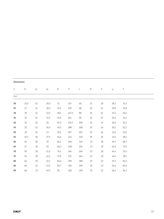| <b>Dimensions</b> |        |        |                |             |       |              |              |      |       |      |  |  |
|-------------------|--------|--------|----------------|-------------|-------|--------------|--------------|------|-------|------|--|--|
| d                 | Α      | $A_1$  | A <sub>5</sub> | $\mathsf B$ | H     | $\mathsf{L}$ | $\mathsf{N}$ | G    | $S_1$ | Τ    |  |  |
| mm                |        |        |                |             |       |              |              |      |       |      |  |  |
| 20                | 25,5   | $11\,$ | 20,5           | 31          | 113   | 60           | 12           | 10   | 18,3  | 33,3 |  |  |
| 25                | 27     | 13     | 20,5           | 34,1        | 130   | 68           | 16           | 14   | 19,8  | 35,8 |  |  |
| 30                | $30\,$ | 13     | 22,5           | 38,1        | 147,5 | $80\,$       | 16           | $14$ | 22,2  | 40,2 |  |  |
| 35                | 32     | 14     | 24,5           | 42,9        | 161   | 90           | 16           | 14   | 25,4  | 44,4 |  |  |
| 40                | 34     | 14     | 26             | 49,2        | 174,5 | 100          | 16           | 14   | 30,2  | 51,2 |  |  |
| 45                | 35     | 15     | 26,5           | 49,2        | 188   | 108          | 19           | 16   | 30,2  | 51,2 |  |  |
| 50                | 39     | 15     | 33             | 51,6        | 197   | 115          | 19           | 16   | 32,6  | 53,6 |  |  |
| 55                | 41,5   | 18     | 37,5           | 55,6        | 224   | 130          | 19           | 16   | 33,4  | 58,4 |  |  |
| 60                | 45     | 18     | 39             | 65,1        | 250   | 140          | 23           | 20   | 39,7  | 68,7 |  |  |
| 65                | $47\,$ | 20     | 39             | 68,3        | 258   | 155          | 23           | 20   | 42,9  | 72,9 |  |  |
| 70                | 50     | $20\,$ | 41,5           | 74,6        | 265   | 160          | 23           | 20   | 44,4  | 75,4 |  |  |
| 75                | 54     | 20     | 41,5           | 77,8        | 275   | 164          | 23           | 20   | 44,5  | 78,5 |  |  |
| 80                | 56     | 20     | 41,5           | 82,6        | 290   | 180          | 25           | 22   | 49,3  | 83,3 |  |  |
| 85                | 60     | 22     | 43,2           | 85,7        | 305   | 190          | 25           | 22   | 51,6  | 87,6 |  |  |
| 90                | 68     | 23     | 45,5           | 96          | 320   | 205          | 25           | 22   | 56,3  | 96,3 |  |  |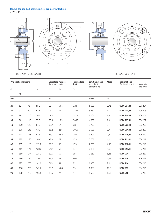#### **Round flanged ball bearing units, grub screw locking**

d **20 – 90** mm



#### UCFC 204/H to UCFC 213/H UCFC 218

|    | <b>Principal dimensions</b> |     |                |      | <b>Basic load ratings</b><br>dynamic static | <b>Fatique load</b><br>limit | Limiting speed<br>with shaft<br>tolerance h6 | Mass           | <b>Designations</b><br>Ball bearing unit | Associated<br>end cover |
|----|-----------------------------|-----|----------------|------|---------------------------------------------|------------------------------|----------------------------------------------|----------------|------------------------------------------|-------------------------|
| d  | $D_{a}$                     | J   | $\mathsf{J}_1$ | C    | $C_0$                                       | $P_{\rm u}$                  |                                              |                |                                          |                         |
|    | h <sub>8</sub>              |     |                |      |                                             |                              |                                              |                |                                          |                         |
| mm |                             |     |                | kN   |                                             |                              | $r/m$ in                                     | kg             | -                                        |                         |
| 20 | 62                          | 78  | 55,2           | 12,7 | 6,55                                        | 0,28                         | 6500                                         | 0,71           | <b>UCFC 204/H</b>                        | <b>ECY 204</b>          |
| 25 | 70                          | 90  | 63,6           | 14   | 7,8                                         | 0,335                        | 5850                                         | $\mathbf{1}$   | <b>UCFC 205/H</b>                        | <b>ECY 205</b>          |
| 30 | 80                          | 100 | 70,7           | 19,5 | 11,2                                        | 0,475                        | 5 0 0 0                                      | 1,3            | <b>UCFC 206/H</b>                        | <b>ECY 206</b>          |
| 35 | 90                          | 110 | 77,8           | 25,5 | 15,3                                        | 0,655                        | 4300                                         | 1,6            | <b>UCFC 207/H</b>                        | <b>ECY 207</b>          |
| 40 | 100                         | 120 | 84,9           | 30,7 | 19                                          | 0,8                          | 3750                                         | $\overline{c}$ | <b>UCFC 208/H</b>                        | <b>ECY 208</b>          |
| 45 | 105                         | 132 | 93,3           | 33,2 | 21,6                                        | 0,915                        | 3400                                         | 2,7            | <b>UCFC 209/H</b>                        | <b>ECY 209</b>          |
| 50 | 110                         | 138 | 97,6           | 35,1 | 23,2                                        | 0,98                         | 3 3 0 0                                      | 2,9            | <b>UCFC 210/H</b>                        | <b>ECY 210</b>          |
| 55 | 125                         | 150 | 106,1          | 43,6 | 29                                          | 1,25                         | 3000                                         | 4,1            | <b>UCFC 211/H</b>                        | <b>ECY 211</b>          |
| 60 | 135                         | 160 | 113,1          | 52,7 | 36                                          | 1,53                         | 2700                                         | 4,95           | <b>UCFC 212/H</b>                        | <b>ECY 212</b>          |
| 65 | 145                         | 170 | 120,2          | 57,2 | 40                                          | 1,7                          | 2 3 5 0                                      | 5,65           | <b>UCFC 213/H</b>                        | <b>ECY 213</b>          |
| 70 | 150                         | 177 | 125,2          | 62,4 | 44                                          | 1,86                         | 2 2 5 0                                      | 6,85           | <b>UCFC 214</b>                          | <b>ECY 214</b>          |
| 75 | 160                         | 184 | 130,1          | 66,3 | 49                                          | 2,04                         | 2100                                         | 7,35           | <b>UCFC 215</b>                          | <b>ECY 215</b>          |
| 80 | 170                         | 200 | 141,4          | 71,5 | 54                                          | 2,2                          | 1900                                         | 9,1            | <b>UCFC 216</b>                          | <b>ECY 216</b>          |
| 85 | 180                         | 208 | 147,1          | 83,2 | 64,0                                        | 2,5                          | 1800                                         | 10,3           | <b>UCFC 217</b>                          | <b>ECY 217</b>          |
| 90 | 190                         | 220 | 155.6          | 95,6 | 72                                          | 2,7                          | 1600                                         | 12,8           | <b>UCFC 218</b>                          | <b>ECY 218</b>          |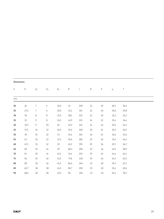| <b>Dimensions</b> |             |        |        |                |             |     |           |        |       |        |  |  |
|-------------------|-------------|--------|--------|----------------|-------------|-----|-----------|--------|-------|--------|--|--|
| d                 | $\mathsf A$ | $A_1$  | $A_3$  | A <sub>5</sub> | $\mathsf B$ | L   | ${\sf N}$ | G      | $S_1$ | $\top$ |  |  |
| mm                |             |        |        |                |             |     |           |        |       |        |  |  |
| 20                | 26          | 7      | 5      | 20,5           | $31\,$      | 100 | 12        | $10\,$ | 18,3  | 28,3   |  |  |
| 25                | 27,5        | 7      | 6      | 20,5           | 34,1        | 115 | $12$      | $10\,$ | 19,8  | 29,8   |  |  |
| 30                | $30\,$      | 8      | 8      | 22,5           | 38,1        | 125 | 12        | $10$   | 22,2  | 32,2   |  |  |
| 35                | 32          | 9      | 8      | 24,5           | 42,9        | 135 | $14$      | $12$   | 25,4  | 36,4   |  |  |
| $40\,$            | 35,5        | 9      | $10\,$ | 26             | 49,2        | 145 | 14        | $12$   | 30,2  | 41,2   |  |  |
| 45                | 37,5        | 14     | 12     | 26,5           | 49,2        | 160 | 16        | $14\,$ | 30,2  | 40,2   |  |  |
| 50                | 39          | 14     | 12     | 33             | 51,6        | 165 | 16        | $14\,$ | 32,6  | 42,6   |  |  |
| 55                | 43          | $15\,$ | 12     | 37,5           | 55,6        | 185 | 19        | 16     | 33,4  | 46,4   |  |  |
| 60                | 47,5        | $15\,$ | 12     | 39             | 65,1        | 195 | 19        | 16     | 39,7  | 56,7   |  |  |
| 65                | 50          | 15     | 14     | 39             | 68,3        | 205 | 19        | 16     | 42,9  | 58,9   |  |  |
| 70                | 54          | 10     | 14     | 41,5           | 74,6        | 215 | 19        | $16\,$ | 44,4  | 61,4   |  |  |
| 75                | 56          | 10     | 16     | 41,5           | 77,8        | 220 | 19        | 16     | 44,5  | 62,5   |  |  |
| 80                | 58          | 10     | 16     | 41,5           | 82,6        | 240 | 23        | 20     | 49,3  | 67,3   |  |  |
| 85                | 62,7        | 18     | 18     | 43,2           | 85,7        | 250 | 23        | 20     | 51,6  | 69,6   |  |  |
| 90                | 68,5        | 20     | 18     | 45,5           | 96          | 265 | 23        | 20     | 56,3  | 78,3   |  |  |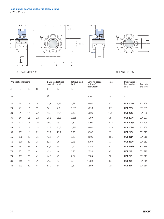$N_1$  $L_3$ A<sub>2</sub>  $-A<sub>5</sub>$  $L_2$ 風江  $\overline{\mathscr{G}}$ €\$ 南  $\overline{s_1}$ B d H H<sup>1</sup> N H<sup>2</sup> N2  $A_1$  $-L_1$ A

L

UCT 204/H to UCT 213/H

UCT 214 to UCT 217

|    | <b>Principal dimensions</b> |    |    | dynamic                          | <b>Basic load ratings</b><br>static | <b>Fatique load</b><br>limit | <b>Limiting speed</b><br>with shaft | Mass | <b>Designations</b><br>Ball bearing | Associated     |
|----|-----------------------------|----|----|----------------------------------|-------------------------------------|------------------------------|-------------------------------------|------|-------------------------------------|----------------|
| d  | N<br>$H_1$<br>$A_1$         |    | С  | $\mathsf{P}_\mathsf{u}$<br>$C_0$ |                                     | tolerance h6                 |                                     | unit | end cover                           |                |
| mm |                             |    |    | kN                               |                                     |                              | r/min                               | kg   |                                     |                |
| 20 | 76                          | 12 | 19 | 12,7                             | 6,55                                | 0,28                         | 6500                                | 0,7  | <b>UCT 204/H</b>                    | <b>ECY 204</b> |
| 25 | 76                          | 12 | 19 | 14                               | 7,8                                 | 0,335                        | 5850                                | 0,79 | <b>UCT 205/H</b>                    | <b>ECY 205</b> |
| 30 | 89                          | 12 | 22 | 19,5                             | 11,2                                | 0,475                        | 5 0 0 0                             | 1,25 | <b>UCT 206/H</b>                    | <b>ECY 206</b> |
| 35 | 89                          | 12 | 22 | 25,5                             | 15,3                                | 0,655                        | 4300                                | 1,6  | <b>UCT 207/H</b>                    | <b>ECY 207</b> |
| 40 | 102                         | 16 | 29 | 30,7                             | 19                                  | 0,8                          | 3750                                | 2,35 | <b>UCT 208/H</b>                    | <b>ECY 208</b> |
| 45 | 102                         | 16 | 29 | 33,2                             | 21,6                                | 0,915                        | 3400                                | 2,35 | <b>UCT 209/H</b>                    | <b>ECY 209</b> |
| 50 | 102                         | 16 | 29 | 35,1                             | 23,2                                | 0,98                         | 3 3 0 0                             | 2,5  | <b>UCT 210/H</b>                    | <b>ECY 210</b> |
| 55 | 130                         | 22 | 35 | 43,6                             | 29                                  | 1,25                         | 3 0 0 0                             | 3,85 | <b>UCT 211/H</b>                    | <b>ECY 211</b> |
| 60 | 130                         | 22 | 35 | 52,7                             | 36                                  | 1,53                         | 2700                                | 4,7  | <b>UCT 212/H</b>                    | <b>ECY 212</b> |
| 65 | 151                         | 26 | 41 | 57,2                             | 40                                  | 1,7                          | 2 3 5 0                             | 6,7  | <b>UCT 213/H</b>                    | <b>ECY 213</b> |
| 70 | 151                         | 26 | 41 | 62,4                             | 44                                  | 1,86                         | 2 2 5 0                             | 6,9  | <b>UCT 214</b>                      | <b>ECY 214</b> |
| 75 | 151                         | 26 | 41 | 66,3                             | 49                                  | 2,04                         | 2 1 0 0                             | 7,2  | <b>UCT 215</b>                      | <b>ECY 215</b> |
| 80 | 165                         | 26 | 41 | 71,5                             | 54                                  | 2,2                          | 1900                                | 8,3  | <b>UCT 216</b>                      | <b>ECY 216</b> |
| 85 | 173                         | 30 | 48 | 83,2                             | 64                                  | 2,5                          | 1800                                | 10,8 | <b>UCT 217</b>                      | <b>ECY 217</b> |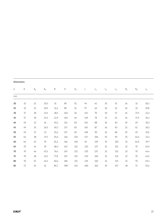| <b>Dimensions</b> |    |                |                |             |                           |                |     |                |                |       |                |        |                |
|-------------------|----|----------------|----------------|-------------|---------------------------|----------------|-----|----------------|----------------|-------|----------------|--------|----------------|
| d                 | Α  | A <sub>2</sub> | A <sub>5</sub> | $\mathsf B$ | $\boldsymbol{\mathsf{H}}$ | H <sub>2</sub> | L   | $\mathsf{L}_1$ | L <sub>2</sub> | $L_3$ | $\mathsf{N}_1$ | $N_2$  | $\mathsf{s}_1$ |
| mm                |    |                |                |             |                           |                |     |                |                |       |                |        |                |
| 20                | 32 | 21             | 20,5           | 31          | 89                        | 51             | 94  | 61             | 10             | 51    | 16             | 32     | 18,3           |
| 25                | 32 | 24             | 20,5           | 34,1        | 89                        | 51             | 97  | 62             | $10$           | 51    | 16             | 32     | 19,8           |
| 30                | 37 | 28             | 22,5           | 38,1        | 102                       | 56             | 113 | 70             | 10             | 57    | 16             | 37,5   | 22,2           |
| 35                | 37 | 30             | 24,5           | 42,9        | 102                       | 64             | 129 | 78             | 13             | 64    | 16             | 37,5   | 25,4           |
| 40                | 49 | 33             | 26             | 49,2        | 114                       | 83             | 145 | 88             | 16             | 83    | 19             | 49     | 30,2           |
| 45                | 49 | 35             | 26,5           | 49,2        | 117                       | 83             | 145 | 87             | 16             | 83    | 21             | 51     | 30,2           |
| 50                | 49 | 37             | 33             | 51,6        | 117                       | 83             | 148 | 90             | 16             | 86    | 19             | 49     | 32,6           |
| 55                | 64 | 38             | 37,5           | 55,6        | 146                       | 102            | 172 | 106            | 19             | 95    | 25             | 64,5   | 33,4           |
| 60                | 64 | 42             | 39             | 65,1        | 146                       | 102            | 45  | 119            | 19             | 102   | 32             | 64,5   | 39,7           |
| 65                | 70 | 44             | 39             | 68,3        | 167                       | 111            | 225 | 137            | 21             | 121   | 32             | 70     | 42,9           |
| 70                | 70 | 46             | 41,5           | 74,6        | 167                       | 111            | 225 | 137            | 21             | 121   | 32             | 70     | 44,4           |
| 75                | 70 | 48             | 41,5           | 77,8        | 167                       | 111            | 232 | 140            | 21             | 121   | 32             | 70     | 44,5           |
| 80                | 70 | 51             | 41,5           | 82,6        | 184                       | 111            | 235 | 140            | 21             | 121   | 32             | $70\,$ | 49,3           |
| 85                | 73 | 54             | 43             | 85,7        | 198                       | 124            | 260 | 162            | 29             | 157   | 38             | 73     | 51,6           |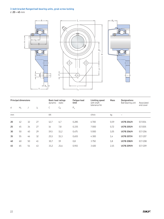## **3-bolt bracket flanged ball bearing units, grub screw locking**

d **20 – 45** mm



|    | <b>Principal dimensions</b> |    |                | <b>Basic load ratings</b><br>dynamic | static | <b>Fatique load</b><br>limit | Limiting speed<br>with shaft | Mass | <b>Designations</b><br>Ball bearing unit | Associated     |
|----|-----------------------------|----|----------------|--------------------------------------|--------|------------------------------|------------------------------|------|------------------------------------------|----------------|
| d  | $H_1$                       | J  | $\mathsf{J}_1$ | U                                    | $C_0$  | $P_u$                        | tolerance h6                 |      |                                          | end cover      |
| mm |                             |    |                | kN                                   |        |                              | r/min                        | kg   | -                                        |                |
| 20 | 42                          | 32 | 27             | 12,7                                 | 6,7    | 0,285                        | 6700                         | 0,59 | <b>UCFB 204/H</b>                        | <b>ECY204</b>  |
|    |                             |    |                |                                      |        |                              |                              |      |                                          |                |
| 25 | 45                          | 34 | 27             | 14                                   | 7,8    | 0,335                        | 7000                         | 0,72 | <b>UCFB 205/H</b>                        | <b>ECY205</b>  |
| 30 | 50                          | 40 | 29             | 19,5                                 | 11,2   | 0,475                        | 5000                         | 1,05 | <b>UCFB 206/H</b>                        | <b>ECY 206</b> |
| 35 | 55                          | 46 | 32             | 25,5                                 | 15,3   | 0,655                        | 4 3 0 0                      | 1,4  | <b>UCFB 207/H</b>                        | <b>ECY 207</b> |
| 40 | 60                          | 50 | 41             | 30,7                                 | 19     | 0,8                          | 3750                         | 1,8  | <b>UCFB 208/H</b>                        | <b>ECY 208</b> |
| 45 | 65                          | 54 | 43             | 33,2                                 | 21,6   | 0,915                        | 3400                         | 2,15 | <b>UCFB 209/H</b>                        | <b>ECY 209</b> |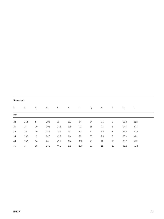| <b>Dimensions</b> |      |        |                |             |     |           |       |              |    |       |      |
|-------------------|------|--------|----------------|-------------|-----|-----------|-------|--------------|----|-------|------|
| d                 | Α    | $A_1$  | A <sub>5</sub> | $\mathsf B$ | H   | $\lfloor$ | $L_1$ | $\mathsf{N}$ | G  | $S_1$ | Τ    |
| mm                |      |        |                |             |     |           |       |              |    |       |      |
| 20                | 25,5 | 8      | 20,5           | 31          | 112 | 64        | 64    | 9,5          | 8  | 18,3  | 31,8 |
| 25                | 27   | 10     | 20,5           | 34,1        | 118 | 70        | 66    | 9,5          | 8  | 19,8  | 34,7 |
| 30                | $30$ | $10\,$ | 22,5           | 38,1        | 137 | 83        | 70    | 9,5          | 8  | 22,2  | 40,9 |
| 35                | 33,5 | 13     | 24,5           | 42,9        | 144 | 90        | 83    | 9,5          | 8  | 25,4  | 44,4 |
| 40                | 35,5 | 16     | 26             | 49,2        | 164 | 100       | 78    | 11           | 10 | 30,2  | 51,2 |
| 45                | 37   | 18     | 26,5           | 49,2        | 176 | 106       | 80    | 11           | 10 | 30,2  | 50,2 |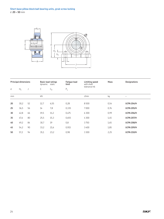

|    | <b>Principal dimensions</b> |    | <b>Basic load ratings</b><br>dynamic static |       | <b>Fatique load</b><br>limit | Limiting speed<br>with shaft | Mass | <b>Designations</b> |
|----|-----------------------------|----|---------------------------------------------|-------|------------------------------|------------------------------|------|---------------------|
| d  | $H_1$                       | J  | С                                           | $C_0$ | $P_u$                        | tolerance h6                 |      |                     |
| mm |                             |    | kN                                          |       |                              | r/min                        | kg   |                     |
| 20 | 30,2                        | 52 | 12,7                                        | 6,55  | 0,28                         | 8500                         | 0,54 | <b>UCPA 204/H</b>   |
| 25 | 36,5                        | 56 | 14                                          | 7,8   | 0,335                        | 7000                         | 0,76 | <b>UCPA 205/H</b>   |
| 30 | 42,8                        | 66 | 19,5                                        | 11,2  | 0,475                        | 6 3 0 0                      | 0,99 | <b>UCPA 206/H</b>   |
| 35 | 47,6                        | 80 | 25,5                                        | 15,3  | 0,655                        | 4300                         | 1,45 | <b>UCPA 207/H</b>   |
| 40 | 49,2                        | 84 | 30,7                                        | 19    | 0,8                          | 3750                         | 1,65 | <b>UCPA 208/H</b>   |
| 45 | 54,2                        | 90 | 33,2                                        | 21,6  | 0,915                        | 3400                         | 1,85 | <b>UCPA 209/H</b>   |
| 50 | 57,2                        | 94 | 35,1                                        | 23,2  | 0,98                         | 3 3 0 0                      | 2,25 | <b>UCPA 210/H</b>   |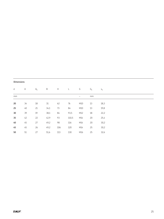|  | <b>Dimensions</b> |  |  |
|--|-------------------|--|--|
|  |                   |  |  |

| d               | Α      | $A_1$ | B    | Н   | L     | G   | $G_1$ | $S_1$ |
|-----------------|--------|-------|------|-----|-------|-----|-------|-------|
| mm              |        |       |      |     |       | -   | mm    |       |
| 20              | 34     | 18    | 31   | 62  | 76    | M10 | 13    | 18,3  |
| 25              | $40\,$ | 21    | 34,1 | 73  | 84    | M10 | 13    | 19,8  |
| 30 <sub>o</sub> | 39     | 19    | 38,1 | 84  | 93,5  | M12 | 18    | 22,2  |
| 35              | 42     | 22    | 42,9 | 93  | 110,5 | M14 | 20    | 25,4  |
| $40\,$          | 45     | 27    | 49,2 | 98  | 116   | M14 | 20    | 30,2  |
| 45              | 45     | 26    | 49,2 | 106 | 120   | M14 | 25    | 30,2  |
| 50              | 51     | 27    | 51,6 | 113 | 130   | M16 | 25    | 32,6  |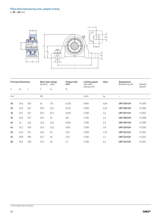

|    | <b>Principal dimensions</b> |     | dynamic | <b>Fatigue load</b><br><b>Basic load ratings</b><br>limit<br>static |       | Limiting speed<br>with shaft<br>tolerance h6 | <b>Mass</b> | <b>Designations</b><br>Ball bearing unit | Adapter<br>sleeve <sup>1</sup> |
|----|-----------------------------|-----|---------|---------------------------------------------------------------------|-------|----------------------------------------------|-------------|------------------------------------------|--------------------------------|
| d  | $H_1$                       | J   | С       | $C_0$                                                               | $P_u$ |                                              |             |                                          |                                |
| mm |                             |     | kN      |                                                                     |       | r/min                                        | kg          |                                          |                                |
| 20 | 36,5                        | 105 | 14      | 7,8                                                                 | 0,335 | 5850                                         | 0,82        | <b>UKP 205 K/H</b>                       | H 2305                         |
| 25 | 42,9                        | 121 | 19,5    | 11,2                                                                | 0,475 | 5000                                         | 1,25        | <b>UKP 206 K/H</b>                       | H 2306                         |
| 30 | 47,6                        | 127 | 25,5    | 15,3                                                                | 0,655 | 4300                                         | 1,6         | <b>UKP 207 K/H</b>                       | H 2307                         |
| 35 | 49,2                        | 137 | 30,7    | 19                                                                  | 0,8   | 3750                                         | 2,1         | <b>UKP 208 K/H</b>                       | H 2308                         |
| 40 | 54                          | 146 | 33,2    | 21,6                                                                | 0,915 | 3400                                         | 2,4         | <b>UKP 209 K/H</b>                       | H 2309                         |
| 45 | 57,2                        | 159 | 35,1    | 23,2                                                                | 0,98  | 3 3 0 0                                      | 2,9         | <b>UKP 210 K/H</b>                       | H 2310                         |
| 50 | 63,5                        | 171 | 43,6    | 29                                                                  | 1,25  | 3000                                         | 3,75        | <b>UKP 211 K/H</b>                       | H 2311                         |
| 55 | 69,8                        | 184 | 52,7    | 36                                                                  | 1,53  | 2700                                         | 4,7         | <b>UKP 212 K/H</b>                       | H 2312                         |
| 60 | 76,2                        | 203 | 57,2    | 40                                                                  | 1,7   | 2 3 5 0                                      | 6,4         | <b>UKP 213 K/H</b>                       | H 2313                         |

<sup>1)</sup> Order adapter sleeve separately.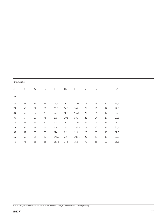|    | <b>Dimensions</b> |        |       |                           |                |       |    |        |        |         |  |  |  |
|----|-------------------|--------|-------|---------------------------|----------------|-------|----|--------|--------|---------|--|--|--|
| d  | $\mathsf A$       | $A_1$  | $B_1$ | $\boldsymbol{\mathsf{H}}$ | H <sub>2</sub> | L     | N  | $N_1$  | G      | $S_1^2$ |  |  |  |
| mm |                   |        |       |                           |                |       |    |        |        |         |  |  |  |
| 20 | 38                | 22     | 35    | 70,5                      | $16\,$         | 139,5 | 18 | 13     | $10\,$ | 20,5    |  |  |  |
| 25 | 45                | 24     | 38    | 83,5                      | 16,5           | 165   | 21 | $17\,$ | 14     | 22,5    |  |  |  |
| 30 | 46                | 27     | 43    | 93,5                      | 18,5           | 166,5 | 21 | $17$   | 14     | 24,8    |  |  |  |
| 35 | 49                | 29     | 46    | 101                       | 20,5           | 184   | 21 | $17\,$ | 14     | 27,5    |  |  |  |
| 40 | 51                | 29     | 50    | 108                       | 19             | 189,5 | 21 | $17\,$ | 14     | 29      |  |  |  |
| 45 | 56                | $31\,$ | 55    | 116                       | 19             | 206,5 | 22 | 20     | 16     | 31,1    |  |  |  |
| 50 | 59                | 35     | 59    | 126                       | 22             | 219   | 22 | 20     | 16     | 32,5    |  |  |  |
| 55 | 62                | 36     | 62    | 141,5                     | 22             | 239,5 | 25 | 20     | 16     | 33,8    |  |  |  |
| 60 | 72                | 35     | 65    | 153,5                     | 25,5           | 265   | 30 | 25     | 20     | 35,3    |  |  |  |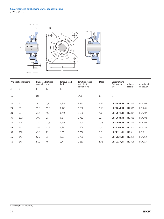

|    | <b>Principal dimensions</b> | <b>Basic load ratings</b><br>dynamic static |       | <b>Fatique load</b><br>limit | Limiting speed<br>with shaft | Mass | <b>Designations</b><br>Ball bearing | Adapter             | Associated     |
|----|-----------------------------|---------------------------------------------|-------|------------------------------|------------------------------|------|-------------------------------------|---------------------|----------------|
| d  | J                           | С                                           | $C_0$ | $\mathsf{P}_\mathsf{u}$      | tolerance h6                 |      | unit                                | sleeve <sup>1</sup> | end cover      |
| mm |                             | kN                                          |       |                              | r/min                        | kg   |                                     |                     |                |
| 20 | 70                          | 14                                          | 7,8   | 0,335                        | 5850                         | 0,77 | <b>UKF 205 K/H</b>                  | H 2305              | <b>ECY 205</b> |
| 25 | 83                          | 19,5                                        | 11,2  | 0,475                        | 5000                         | 1,15 | <b>UKF 206 K/H</b>                  | H 2306              | <b>ECY 206</b> |
| 30 | 92                          | 25,5                                        | 15,3  | 0,655                        | 4 3 0 0                      | 1,45 | <b>UKF 207 K/H</b>                  | H 2307              | <b>ECY 207</b> |
| 35 | 102                         | 30,7                                        | 19    | 0,8                          | 3750                         | 1,9  | <b>UKF 208 K/H</b>                  | H 2308              | <b>ECY 208</b> |
| 40 | 105                         | 33,2                                        | 21,6  | 0,915                        | 3400                         | 2,25 | <b>UKF 209 K/H</b>                  | H 2309              | <b>ECY 209</b> |
| 45 | 111                         | 35,1                                        | 23,2  | 0,98                         | 3 3 0 0                      | 2,6  | <b>UKF 210 K/H</b>                  | H 2310              | <b>ECY 210</b> |
| 50 | 130                         | 43,6                                        | 29    | 1,25                         | 3000                         | 3,6  | <b>UKF 211 K/H</b>                  | H 2311              | <b>ECY 211</b> |
| 55 | 143                         | 52,7                                        | 36    | 1,53                         | 2700                         | 4,2  | <b>UKF 212 K/H</b>                  | H 2312              | <b>ECY 212</b> |
| 60 | 149                         | 57,2                                        | 40    | 1,7                          | 2 3 5 0                      | 5,45 | <b>UKF 213 K/H</b>                  | H 2313              | <b>ECY 213</b> |

1) Order adapter sleeve separately.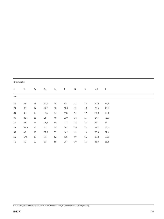| <b>Dimensions</b> |             |                |                |        |           |            |        |         |        |
|-------------------|-------------|----------------|----------------|--------|-----------|------------|--------|---------|--------|
| d                 | $\mathsf A$ | $\mathsf{A}_1$ | A <sub>5</sub> | $B_1$  | $\lfloor$ | $\hbox{N}$ | G      | $s_1^2$ | $\top$ |
| mm                |             |                |                |        |           |            |        |         |        |
| 20                | 27          | $13\,$         | 20,5           | 35     | 95        | 12         | $10$   | 20,5    | 36,5   |
| 25                | $30\,$      | $14\,$         | 22,5           | 38     | 108       | 12         | $10\,$ | 22,5    | 40,5   |
| 30                | 32          | 15             | 24,5           | 43     | 118       | 14         | 12     | 24,8    | 43,8   |
| 35                | 35,5        | 15             | 26             | 46     | 130       | 16         | $14$   | 27,5    | 48,5   |
| $40\,$            | 38          | $16\,$         | 26,5           | $50\,$ | 137       | 16         | 14     | 29      | $51\,$ |
| 45                | 39,5        | 16             | 33             | 55     | 143       | 16         | 14     | 31,1    | 53,1   |
| 50                | 43          | 18             | 37,5           | 59     | 162       | 19         | 16     | 32,5    | 57,5   |
| 55                | 47,5        | $18\,$         | 39             | 62     | 175       | 19         | 16     | 33,8    | 62,8   |
| 60                | 50          | 22             | 39             | 65     | 187       | 19         | 16     | 35,3    | 65,3   |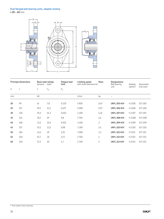## **Oval flanged ball bearing units, adapter locking**

d **20 – 60** mm



|    | <b>Principal dimensions</b> | <b>Basic load ratings</b><br>dynamic static |       | <b>Fatigue load</b><br>limit | Limiting speed<br>with shaft tolerance h6 | Mass           | <b>Designations</b><br>Ball bearing | Adapter               | Associated     |
|----|-----------------------------|---------------------------------------------|-------|------------------------------|-------------------------------------------|----------------|-------------------------------------|-----------------------|----------------|
| d  | J                           | C                                           | $C_0$ | $\mathsf{P}_\mathsf{u}$      |                                           |                | unit                                | sleeve <sup>1</sup> ) | end cover      |
| mm |                             | kN                                          |       |                              | r/min                                     | kg             |                                     |                       |                |
| 20 | 99                          | 14                                          | 7,8   | 0,335                        | 5850                                      | 0,67           | <b>UKFL 205 K/H</b>                 | H 2305                | <b>ECY 205</b> |
| 25 | 117                         | 19,5                                        | 11,2  | 0,475                        | 5000                                      | 0,97           | <b>UKFL 206 K/H</b>                 | H 2306                | <b>ECY 206</b> |
| 30 | 130                         | 25,5                                        | 15,3  | 0,655                        | 4 3 0 0                                   | 1,25           | <b>UKFL 207 K/H</b>                 | H 2307                | <b>ECY 207</b> |
| 35 | 144                         | 30,7                                        | 19    | 0,8                          | 3750                                      | 1,6            | <b>UKFL 208 K/H</b>                 | H 2308                | <b>ECY 208</b> |
| 40 | 148                         | 33,2                                        | 21,6  | 0,915                        | 3400                                      | $\overline{c}$ | <b>UKFL 209 K/H</b>                 | H 2309                | <b>ECY 209</b> |
| 45 | 157                         | 35,1                                        | 23,2  | 0,98                         | 3 3 0 0                                   | 2,4            | <b>UKFL 210 K/H</b>                 | H 2310                | <b>ECY 210</b> |
| 50 | 184                         | 43,6                                        | 29    | 1,25                         | 3000                                      | 3,3            | <b>UKFL 211 K/H</b>                 | H 2311                | <b>ECY 211</b> |
| 55 | 202                         | 52,7                                        | 36    | 1,53                         | 2700                                      | 4              | <b>UKFL 212 K/H</b>                 | H 2312                | <b>ECY 212</b> |
| 60 | 210                         | 57,2                                        | 40    | 1,7                          | 2 3 5 0                                   | 5              | <b>UKFL 213 K/H</b>                 | H 2313                | <b>ECY 213</b> |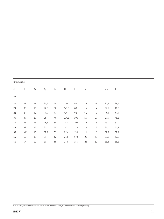|    | <b>Dimensions</b> |        |                |       |                           |              |             |        |         |      |  |  |  |
|----|-------------------|--------|----------------|-------|---------------------------|--------------|-------------|--------|---------|------|--|--|--|
| d  | $\mathsf A$       | $A_1$  | A <sub>5</sub> | $B_1$ | $\boldsymbol{\mathsf{H}}$ | $\mathsf{L}$ | $\mathsf N$ | G      | $S_1^2$ | Τ    |  |  |  |
| mm |                   |        |                |       |                           |              |             |        |         |      |  |  |  |
| 20 | 27                | 13     | 20,5           | 35    | 130                       | 68           | $16\,$      | 14     | 20,5    | 36,5 |  |  |  |
| 25 | 30                | 13     | 22,5           | 38    | 147,5                     | 80           | $16\,$      | 14     | 22,5    | 40,5 |  |  |  |
| 30 | 32                | $14\,$ | 24,5           | 43    | 161                       | 90           | $16\,$      | 14     | 24,8    | 43,8 |  |  |  |
| 35 | 34                | $14$   | 26             | 46    | 174,5                     | 100          | $16\,$      | $14$   | 27,5    | 48,5 |  |  |  |
| 40 | 35                | 15     | 26,5           | 50    | 188                       | 108          | 19          | $16\,$ | 29      | 51   |  |  |  |
| 45 | 39                | 15     | 33             | 55    | 197                       | 115          | 19          | 16     | 31,1    | 53,1 |  |  |  |
| 50 | 41,5              | $18\,$ | 37,5           | 59    | 224                       | 130          | 19          | 16     | 32,5    | 57,5 |  |  |  |
| 55 | 45                | 18     | 39             | 62    | 250                       | 140          | 23          | 20     | 33,8    | 62,8 |  |  |  |
| 60 | 47                | 20     | 39             | 65    | 258                       | 155          | 23          | 20     | 35,3    | 65,3 |  |  |  |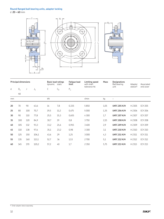## **Round flanged ball bearing units, adapter locking**

d **20 – 60** mm



|    | <b>Principal dimensions</b> |     |                | <b>Basic load ratings</b><br>dynamic static |       | <b>Fatique load</b><br>limit | Limiting speed<br>with shaft | Mass | <b>Designations</b><br>Ball bearing<br>Adapter<br>unit<br>sleeve <sup>1</sup> |        | Associated     |
|----|-----------------------------|-----|----------------|---------------------------------------------|-------|------------------------------|------------------------------|------|-------------------------------------------------------------------------------|--------|----------------|
| d  | $D_{a}$                     | J   | $\mathsf{J}_1$ | С                                           | $C_0$ | $\mathsf{P}_\mathsf{u}$      | tolerance h6                 |      |                                                                               |        | end cover      |
|    | h <sub>8</sub>              |     |                |                                             |       |                              |                              |      |                                                                               |        |                |
| mm |                             |     |                | kN                                          |       |                              | r/min                        | kg   |                                                                               |        |                |
| 20 | 70                          | 90  | 63,6           | 14                                          | 7,8   | 0,335                        | 5850                         | 1,05 | <b>UKFC 205 K/H</b>                                                           | H 2305 | <b>ECY 205</b> |
| 25 | 80                          | 100 | 70,7           | 19,5                                        | 11,2  | 0,475                        | 5000                         | 1,35 | <b>UKFC 206 K/H</b>                                                           | H 2306 | <b>ECY 206</b> |
| 30 | 90                          | 110 | 77,8           | 25,5                                        | 15,3  | 0,655                        | 4 3 0 0                      | 1,7  | <b>UKFC 207 K/H</b>                                                           | H 2307 | <b>ECY 207</b> |
| 35 | 100                         | 120 | 84,9           | 30,7                                        | 19    | 0,8                          | 3750                         | 2,15 | <b>UKFC 208 K/H</b>                                                           | H 2308 | <b>ECY 208</b> |
| 40 | 105                         | 132 | 93,3           | 33,2                                        | 21,6  | 0,915                        | 3400                         | 2,9  | <b>UKFC 209 K/H</b>                                                           | H 2309 | <b>ECY 209</b> |
| 45 | 110                         | 138 | 97,6           | 35,1                                        | 23,2  | 0,98                         | 3 3 0 0                      | 3,1  | <b>UKFC 210 K/H</b>                                                           | H 2310 | <b>ECY 210</b> |
| 50 | 125                         | 150 | 106,1          | 43,6                                        | 29    | 1,25                         | 3000                         | 4,3  | <b>UKFC 211 K/H</b>                                                           | H 2311 | <b>ECY 211</b> |
| 55 | 135                         | 160 | 113,1          | 52,7                                        | 36    | 1,53                         | 2700                         | 5,1  | <b>UKFC 212 K/H</b>                                                           | H 2312 | <b>ECY 212</b> |
| 60 | 145                         | 170 | 120,2          | 57,2                                        | 40    | 1,7                          | 2 3 5 0                      | 5,75 | <b>UKFC 213 K/H</b>                                                           | H 2313 | <b>ECY 213</b> |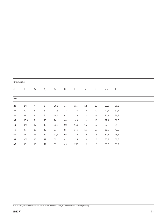| <b>Dimensions</b> |             |                |         |                |                |     |           |        |         |      |
|-------------------|-------------|----------------|---------|----------------|----------------|-----|-----------|--------|---------|------|
| d                 | $\mathsf A$ | $A_1$          | $A_3$   | A <sub>5</sub> | $\mathsf{B}_1$ | L   | ${\sf N}$ | G      | $s_1^2$ | Τ    |
| mm                |             |                |         |                |                |     |           |        |         |      |
| 20                | 27,5        | $\overline{7}$ | 6       | 20,5           | 35             | 115 | $12$      | $10\,$ | 20,5    | 30,5 |
| 25                | 30          | 8              | $\,8\,$ | 22,5           | 38             | 125 | $12$      | $10\,$ | 22,5    | 32,5 |
| 30 <sub>o</sub>   | 32          | 9              | $\,8\,$ | 24,5           | 43             | 135 | $14$      | $12\,$ | 24,8    | 35,8 |
| 35                | 35,5        | 9              | $10\,$  | 26             | 46             | 145 | $14$      | 12     | 27,5    | 38,5 |
| 40                | 37,5        | $14\,$         | $12\,$  | 26,5           | $50\,$         | 160 | $16\,$    | 14     | 29      | 39   |
| 45                | 39          | $14\,$         | $12\,$  | 33             | 55             | 165 | $16\,$    | $14$   | 31,1    | 41,1 |
| 50                | 43          | 15             | $12\,$  | 37,5           | 59             | 185 | 19        | 16     | 32,5    | 45,5 |
| 55                | 47,5        | $15\,$         | $12\,$  | 39             | 62             | 195 | 19        | 16     | 33,8    | 50,8 |
| 60                | 50          | 15             | $14$    | 39             | 65             | 205 | 19        | 16     | 35,3    | 51,3 |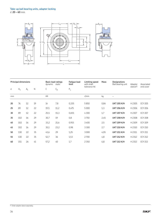

|    | <b>Principal dimensions</b> |       |    | dynamic | <b>Basic load ratings</b><br>static | <b>Fatique load</b><br>limit | Limiting speed<br>with shaft | Mass | <b>Designations</b><br>Ball bearing unit | Adapter<br>sleeve <sup>1</sup> | Associated<br>end cover |
|----|-----------------------------|-------|----|---------|-------------------------------------|------------------------------|------------------------------|------|------------------------------------------|--------------------------------|-------------------------|
| d  | $H_1$                       | $A_1$ | Ν  | С       | $C_0$                               | $P_u$                        | tolerance h6                 |      |                                          |                                |                         |
| mm |                             |       |    | kN      |                                     |                              | r/min                        | kg   |                                          |                                |                         |
| 20 | 76                          | 12    | 19 | 14      | 7,8                                 | 0,335                        | 5850                         | 0,84 | <b>UKT 205 K/H</b>                       | H 2305                         | <b>ECY 205</b>          |
| 25 | 89                          | 12    | 22 | 19,5    | 11,2                                | 0,475                        | 5000                         | 1,3  | <b>UKT 206 K/H</b>                       | H 2306                         | <b>ECY 206</b>          |
| 30 | 89                          | 12    | 22 | 25,5    | 15,3                                | 0,655                        | 4 3 0 0                      | 1,7  | <b>UKT 207 K/H</b>                       | H 2307                         | <b>ECY 207</b>          |
| 35 | 102                         | 16    | 29 | 30,7    | 19                                  | 0,8                          | 3750                         | 2,45 | <b>UKT 208 K/H</b>                       | H 2308                         | <b>ECY 208</b>          |
| 40 | 102                         | 16    | 29 | 33,2    | 21,6                                | 0,915                        | 3400                         | 2,5  | <b>UKT 209 K/H</b>                       | H 2309                         | <b>ECY 209</b>          |
| 45 | 102                         | 16    | 29 | 35,1    | 23,2                                | 0,98                         | 3 3 0 0                      | 2,7  | <b>UKT 210 K/H</b>                       | H 2310                         | <b>ECY 210</b>          |
| 50 | 130                         | 22    | 35 | 43,6    | 29                                  | 1,25                         | 3000                         | 4,05 | <b>UKT 211 K/H</b>                       | H 2311                         | <b>ECY 211</b>          |
| 55 | 130                         | 22    | 35 | 52,7    | 36                                  | 1,53                         | 2700                         | 4,8  | <b>UKT 212 K/H</b>                       | H 2312                         | <b>ECY 212</b>          |
| 60 | 151                         | 26    | 41 | 57,2    | 40                                  | 1,7                          | 2 3 5 0                      | 6,8  | <b>UKT 213 K/H</b>                       | H 2313                         | <b>ECY 213</b>          |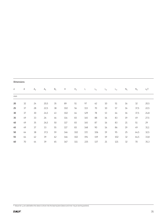| <b>Dimensions</b> |    |                |                |       |     |                |     |     |                |       |       |        |         |
|-------------------|----|----------------|----------------|-------|-----|----------------|-----|-----|----------------|-------|-------|--------|---------|
| d                 | Α  | A <sub>2</sub> | A <sub>5</sub> | $B_1$ | H   | H <sub>2</sub> | L   | 4   | L <sub>2</sub> | $L_3$ | $N_1$ | $N_2$  | $s_1^2$ |
| mm                |    |                |                |       |     |                |     |     |                |       |       |        |         |
| 20                | 32 | 24             | 20,5           | 35    | 89  | 51             | 97  | 62  | $10$           | 51    | 16    | 32     | 20,5    |
| 25                | 37 | 28             | 22,5           | 38    | 102 | 56             | 113 | 70  | $10$           | 57    | 16    | 37,5   | 22,5    |
| 30                | 37 | $30$           | 24,5           | 43    | 102 | 64             | 129 | 78  | 13             | 64    | 16    | 37,5   | 24,8    |
| 35                | 49 | 33             | 26             | 46    | 114 | 83             | 145 | 88  | 16             | 83    | 19    | 49     | 27,5    |
| $40\,$            | 49 | 35             | 26,5           | 50    | 117 | 83             | 145 | 87  | 16             | 83    | 21    | 51     | 29      |
| 45                | 49 | 37             | 33             | 55    | 117 | 83             | 148 | 90  | 16             | 86    | 19    | 49     | 31,1    |
| 50                | 64 | 38             | 37,5           | 59    | 146 | 102            | 172 | 106 | 19             | 95    | 25    | 64,5   | 32,5    |
| 55                | 64 | 42             | 39             | 62    | 146 | 102            | 194 | 119 | 19             | 102   | 32    | 64,5   | 33,8    |
| 60                | 70 | 44             | 39             | 65    | 167 | 111            | 225 | 137 | 21             | 121   | 32    | $70\,$ | 35,3    |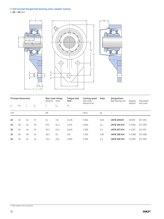### **3-bolt bracket flanged ball bearing units, adapter locking**

d **20 – 40** mm



|    | <b>Principal dimensions</b> |    |       | <b>Basic load ratings</b><br>dynamic<br>static |       | <b>Fatique load</b><br>limit | Limiting speed<br>with shaft | Mass | <b>Designations</b><br>Ball bearing unit | Adapter             | Associated     |
|----|-----------------------------|----|-------|------------------------------------------------|-------|------------------------------|------------------------------|------|------------------------------------------|---------------------|----------------|
| d  | $H_1$                       | J  | $J_1$ | С                                              | $C_0$ | $P_u$                        | tolerance h6                 |      |                                          | sleeve <sup>1</sup> | end cover      |
| mm |                             |    |       | kN                                             |       |                              | r/min                        | kg   | $\qquad \qquad -$                        |                     |                |
| 20 | 45                          | 34 | 27    | 14                                             | 7,8   | 0.335                        | 5850                         | 0,69 | <b>UKFB 205K/H</b>                       | H2305               | <b>ECY 205</b> |
| 25 | 50                          | 40 | 29    | 19,5                                           | 11,2  | 0.475                        | 5000                         | 1,1  | <b>UKFB 206 K/H</b>                      | H 2306              | <b>ECY 206</b> |
| 30 | 55                          | 46 | 32    | 25,5                                           | 15,3  | 0,655                        | 4 3 0 0                      | 1,5  | <b>UKFB 207 K/H</b>                      | H 2307              | <b>ECY 207</b> |
| 35 | 60                          | 50 | 41    | 30,7                                           | 19    | 0,8                          | 3750                         | 1,95 | <b>UKFB 208 K/H</b>                      | H 2308              | <b>ECY 208</b> |
| 40 | 65                          | 54 | 43    | 33,2                                           | 21,6  | 0.915                        | 3400                         | 2,3  | <b>UKFB 209 K/H</b>                      | H 2309              | <b>ECY 209</b> |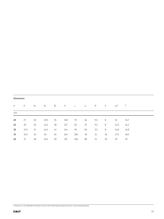| <b>Dimensions</b> |      |       |                |       |     |     |       |     |    |         |      |
|-------------------|------|-------|----------------|-------|-----|-----|-------|-----|----|---------|------|
| d                 | Α    | $A_1$ | A <sub>5</sub> | $B_1$ | H   | L   | $L_1$ | N   | G  | $s_1^2$ | Τ    |
| mm                |      |       |                |       |     |     |       |     |    |         |      |
| 20                | 27   | 10    | 20,5           | 35    | 118 | 70  | 66    | 9,5 | 8  | 12      | 34,7 |
| 25                | 30   | 10    | 22,5           | 38    | 137 | 83  | 70    | 9,5 | 8  | 22,5    | 41,2 |
| 30                | 33,5 | 13    | 24,5           | 43    | 144 | 90  | 83    | 9,5 | 8  | 24,8    | 43,8 |
| 35                | 35,5 | 16    | 26             | 46    | 164 | 100 | 78    | 11  | 10 | 27,5    | 48,5 |
| 40                | 37   | 18    | 26,5           | 50    | 176 | 106 | 80    | 11  | 10 | 29      | 49   |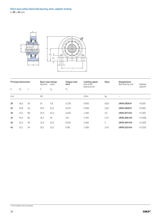

| <b>Principal dimensions</b> |       | <b>Basic load ratings</b><br>dynamic<br>static |      | <b>Fatique load</b><br>limit | Limiting speed<br>with shaft | Mass         | <b>Designations</b><br>Ball bearing unit | Adapter             |                       |
|-----------------------------|-------|------------------------------------------------|------|------------------------------|------------------------------|--------------|------------------------------------------|---------------------|-----------------------|
| d                           | $H_1$ | J                                              | С    | $C_0$                        | $P_u$                        | tolerance h6 |                                          |                     | sleeve <sup>1</sup> ) |
| mm                          |       |                                                | kN   |                              |                              | r/min        | kg                                       |                     |                       |
| 20                          | 36,5  | 56                                             | 14   | 7,8                          | 0,335                        | 5850         | 0,82                                     | <b>UKPA 205K/H</b>  | H2305                 |
| 25                          | 42,8  | 66                                             | 19,5 | 11,2                         | 0,475                        | 5 0 0 0      | 1,05                                     | <b>UKPA 206K/H</b>  | H2306                 |
| 30                          | 47,6  | 80                                             | 25,5 | 15,3                         | 0,655                        | 4300         | 1,5                                      | <b>UKPA 207 K/H</b> | H 2307                |
| 35                          | 49,2  | 84                                             | 30,7 | 19                           | 0,8                          | 3750         | 1,75                                     | <b>UKPA 208 K/H</b> | H 2308                |
| 40                          | 54,2  | 90                                             | 33,2 | 21,6                         | 0,915                        | 3400         | $\overline{c}$                           | <b>UKPA 209 K/H</b> | H 2309                |
| 45                          | 57,2  | 94                                             | 35,1 | 23,2                         | 0,98                         | 3 3 0 0      | 2,45                                     | <b>UKPA 210 K/H</b> | H 2310                |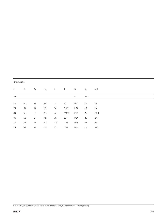| <b>Dimensions</b> |  |
|-------------------|--|
|                   |  |

| ${\sf d}$       | $\mathsf{A}$ | $A_1$ | $B_1$ | H   | $\mathsf{L}$ | G   | $G_1$ | $s_1^2$ |
|-----------------|--------------|-------|-------|-----|--------------|-----|-------|---------|
| mm              |              |       |       |     |              |     | mm    |         |
| 20              | 40           | 21    | 35    | 73  | 84           | M10 | 13    | 12      |
| 25              | 39           | 19    | 38    | 84  | 93,5         | M12 | 18    | 14      |
| 30 <sub>o</sub> | 42           | 22    | 43    | 93  | 110,5        | M14 | 20    | 24,8    |
| 35              | 45           | 27    | 46    | 98  | 116          | M14 | 20    | 27,5    |
| $40\,$          | 45           | 26    | 50    | 106 | 120          | M14 | 25    | 29      |
| 45              | 51           | 27    | 55    | 113 | 130          | M16 | 25    | 31,1    |